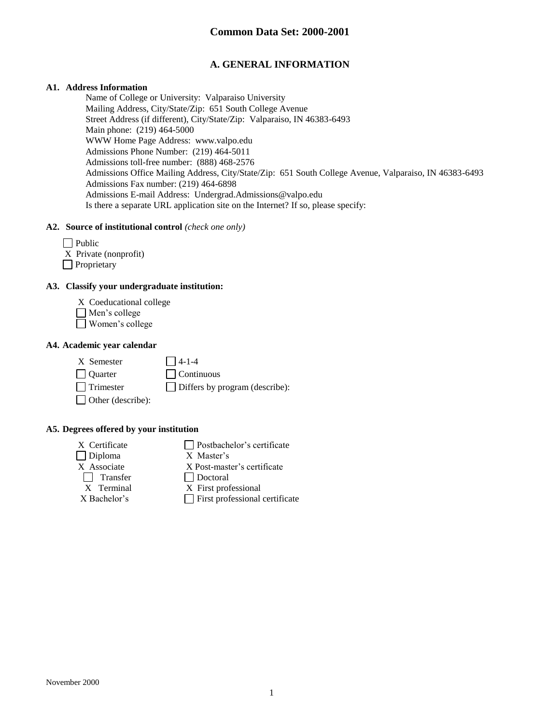# **A. GENERAL INFORMATION**

### **A1. Address Information**

Name of College or University: Valparaiso University Mailing Address, City/State/Zip: 651 South College Avenue Street Address (if different), City/State/Zip: Valparaiso, IN 46383-6493 Main phone: (219) 464-5000 WWW Home Page Address: www.valpo.edu Admissions Phone Number: (219) 464-5011 Admissions toll-free number: (888) 468-2576 Admissions Office Mailing Address, City/State/Zip: 651 South College Avenue, Valparaiso, IN 46383-6493 Admissions Fax number: (219) 464-6898 Admissions E-mail Address: Undergrad.Admissions@valpo.edu Is there a separate URL application site on the Internet? If so, please specify:

#### **A2. Source of institutional control** *(check one only)*

- $\Box$  Public
- X Private (nonprofit)
- **Proprietary**

### **A3. Classify your undergraduate institution:**

- X Coeducational college
- Men's college
- Women's college

#### **A4. Academic year calendar**

 $X$  Semester  $\Box$  4-1-4

 $\Box$  Quarter  $\Box$  Continuous Trimester Differs by program (describe):

□ Other (describe):

**A5. Degrees offered by your institution**

- Diploma X Master's  $\Box$  Transfer  $\Box$  Doctoral X Terminal X First prof
- X Certificate **Postbachelor's certificate** 
	- X Post-master's certificate
	-
	- X First professional
- $X$  Bachelor's  $\Box$  First professional certificate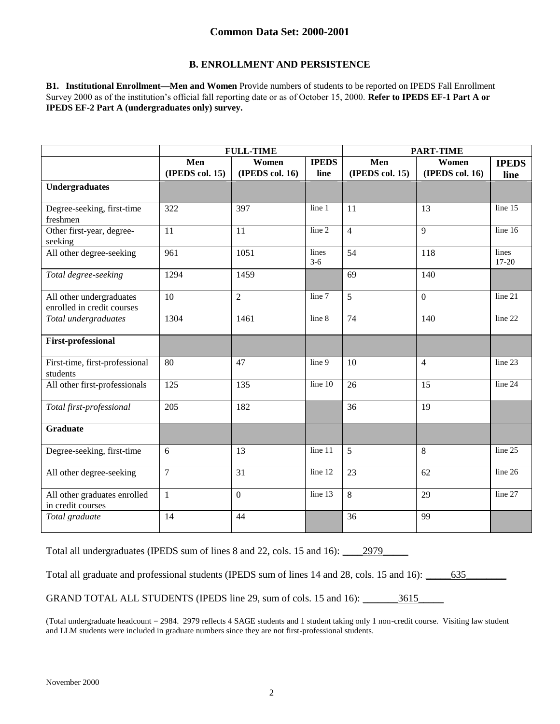### **B. ENROLLMENT AND PERSISTENCE**

**B1. Institutional Enrollment—Men and Women** Provide numbers of students to be reported on IPEDS Fall Enrollment Survey 2000 as of the institution's official fall reporting date or as of October 15, 2000. **Refer to IPEDS EF-1 Part A or IPEDS EF-2 Part A (undergraduates only) survey.**

|                                                        | <b>FULL-TIME</b> |                 | <b>PART-TIME</b> |                 |                 |                    |
|--------------------------------------------------------|------------------|-----------------|------------------|-----------------|-----------------|--------------------|
|                                                        | Men              | Women           | <b>IPEDS</b>     | Men<br>Women    |                 | <b>IPEDS</b>       |
|                                                        | (IPEDS col. 15)  | (IPEDS col. 16) | line             | (IPEDS col. 15) | (IPEDS col. 16) | line               |
| Undergraduates                                         |                  |                 |                  |                 |                 |                    |
| Degree-seeking, first-time<br>freshmen                 | 322              | 397             | line 1           | 11              | 13              | line 15            |
| Other first-year, degree-<br>seeking                   | 11               | 11              | line 2           | $\overline{4}$  | 9               | line $16$          |
| All other degree-seeking                               | 961              | 1051            | lines<br>$3-6$   | 54              | 118             | lines<br>$17 - 20$ |
| Total degree-seeking                                   | 1294             | 1459            |                  | 69              | 140             |                    |
| All other undergraduates<br>enrolled in credit courses | 10               | $\overline{2}$  | line 7           | 5               | $\overline{0}$  | line 21            |
| Total undergraduates                                   | 1304             | 1461            | line 8           | 74              | 140             | line 22            |
| <b>First-professional</b>                              |                  |                 |                  |                 |                 |                    |
| First-time, first-professional<br>students             | 80               | 47              | line 9           | 10              | $\overline{4}$  | line 23            |
| All other first-professionals                          | 125              | 135             | line 10          | 26              | 15              | line 24            |
| Total first-professional                               | 205              | 182             |                  | 36              | 19              |                    |
| <b>Graduate</b>                                        |                  |                 |                  |                 |                 |                    |
| Degree-seeking, first-time                             | 6                | 13              | line 11          | 5               | 8               | line 25            |
| All other degree-seeking                               | $\overline{7}$   | 31              | line 12          | 23              | 62              | line 26            |
| All other graduates enrolled<br>in credit courses      | $\mathbf{1}$     | $\overline{0}$  | line 13          | 8               | 29              | line 27            |
| Total graduate                                         | 14               | 44              |                  | 36              | 99              |                    |

Total all undergraduates (IPEDS sum of lines 8 and 22, cols. 15 and 16): 2979\_\_\_\_

Total all graduate and professional students (IPEDS sum of lines 14 and 28, cols. 15 and 16): \_\_\_\_\_635\_\_\_\_\_\_\_\_

GRAND TOTAL ALL STUDENTS (IPEDS line 29, sum of cols. 15 and 16): \_\_\_\_\_\_\_3615\_\_\_\_\_

(Total undergraduate headcount = 2984. 2979 reflects 4 SAGE students and 1 student taking only 1 non-credit course. Visiting law student and LLM students were included in graduate numbers since they are not first-professional students.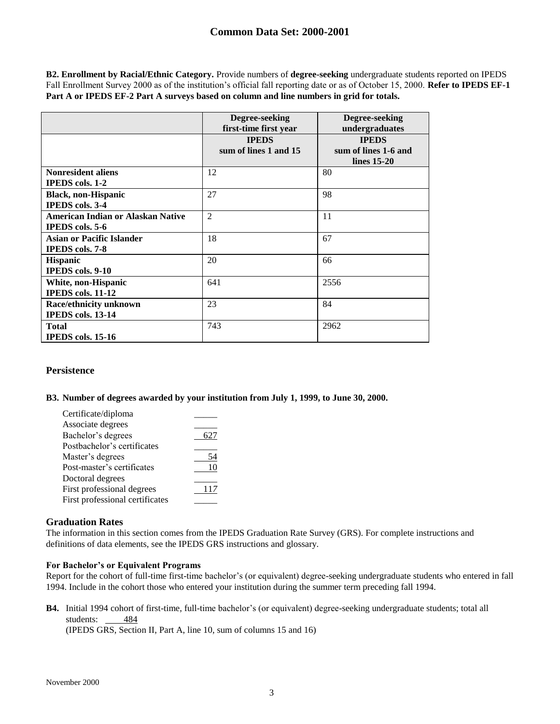**B2. Enrollment by Racial/Ethnic Category.** Provide numbers of **degree-seeking** undergraduate students reported on IPEDS Fall Enrollment Survey 2000 as of the institution's official fall reporting date or as of October 15, 2000. **Refer to IPEDS EF-1 Part A or IPEDS EF-2 Part A surveys based on column and line numbers in grid for totals.**

|                                                                                | Degree-seeking<br>first-time first year | Degree-seeking<br>undergraduates                      |
|--------------------------------------------------------------------------------|-----------------------------------------|-------------------------------------------------------|
|                                                                                | <b>IPEDS</b><br>sum of lines 1 and 15   | <b>IPEDS</b><br>sum of lines 1-6 and<br>lines $15-20$ |
| <b>Nonresident aliens</b>                                                      | 12                                      | 80                                                    |
| <b>IPEDS</b> cols. 1-2<br><b>Black, non-Hispanic</b><br><b>IPEDS</b> cols. 3-4 | 27                                      | 98                                                    |
| American Indian or Alaskan Native<br><b>IPEDS</b> cols. 5-6                    | $\overline{2}$                          | 11                                                    |
| Asian or Pacific Islander<br><b>IPEDS</b> cols. 7-8                            | 18                                      | 67                                                    |
| <b>Hispanic</b><br><b>IPEDS</b> cols. 9-10                                     | 20                                      | 66                                                    |
| White, non-Hispanic<br><b>IPEDS</b> cols. 11-12                                | 641                                     | 2556                                                  |
| Race/ethnicity unknown<br>IPEDS cols. 13-14                                    | 23                                      | 84                                                    |
| <b>Total</b><br><b>IPEDS</b> cols. 15-16                                       | 743                                     | 2962                                                  |

### **Persistence**

### **B3. Number of degrees awarded by your institution from July 1, 1999, to June 30, 2000.**

| Certificate/diploma             |     |
|---------------------------------|-----|
| Associate degrees               |     |
| Bachelor's degrees              |     |
| Postbachelor's certificates     |     |
| Master's degrees                | 54  |
| Post-master's certificates      | 10  |
| Doctoral degrees                |     |
| First professional degrees      | 117 |
| First professional certificates |     |
|                                 |     |

### **Graduation Rates**

The information in this section comes from the IPEDS Graduation Rate Survey (GRS). For complete instructions and definitions of data elements, see the IPEDS GRS instructions and glossary.

### **For Bachelor's or Equivalent Programs**

Report for the cohort of full-time first-time bachelor's (or equivalent) degree-seeking undergraduate students who entered in fall 1994. Include in the cohort those who entered your institution during the summer term preceding fall 1994.

**B4.** Initial 1994 cohort of first-time, full-time bachelor's (or equivalent) degree-seeking undergraduate students; total all students: 484

(IPEDS GRS, Section II, Part A, line 10, sum of columns 15 and 16)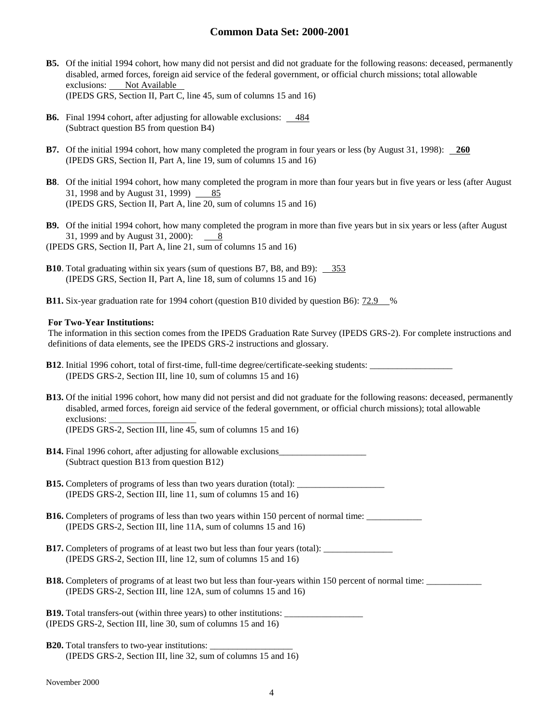- **B5.** Of the initial 1994 cohort, how many did not persist and did not graduate for the following reasons: deceased, permanently disabled, armed forces, foreign aid service of the federal government, or official church missions; total allowable exclusions: Not Available (IPEDS GRS, Section II, Part C, line 45, sum of columns 15 and 16)
- **B6.** Final 1994 cohort, after adjusting for allowable exclusions: 484 (Subtract question B5 from question B4)
- **B7.** Of the initial 1994 cohort, how many completed the program in four years or less (by August 31, 1998): **260** (IPEDS GRS, Section II, Part A, line 19, sum of columns 15 and 16)
- **B8**. Of the initial 1994 cohort, how many completed the program in more than four years but in five years or less (after August 31, 1998 and by August 31, 1999) 85 (IPEDS GRS, Section II, Part A, line 20, sum of columns 15 and 16)
- **B9.** Of the initial 1994 cohort, how many completed the program in more than five years but in six years or less (after August 31, 1999 and by August 31, 2000): 8
- (IPEDS GRS, Section II, Part A, line 21, sum of columns 15 and 16)
- **B10**. Total graduating within six years (sum of questions B7, B8, and B9): 353 (IPEDS GRS, Section II, Part A, line 18, sum of columns 15 and 16)
- **B11.** Six-year graduation rate for 1994 cohort (question B10 divided by question B6): 72.9 %

#### **For Two-Year Institutions:**

The information in this section comes from the IPEDS Graduation Rate Survey (IPEDS GRS-2). For complete instructions and definitions of data elements, see the IPEDS GRS-2 instructions and glossary.

| <b>B12.</b> Initial 1996 cohort, total of first-time, full-time degree/certificate-seeking students: |
|------------------------------------------------------------------------------------------------------|
| (IPEDS GRS-2, Section III, line 10, sum of columns $15$ and $16$ )                                   |

- **B13.** Of the initial 1996 cohort, how many did not persist and did not graduate for the following reasons: deceased, permanently disabled, armed forces, foreign aid service of the federal government, or official church missions); total allowable exclusions: (IPEDS GRS-2, Section III, line 45, sum of columns 15 and 16)
- **B14.** Final 1996 cohort, after adjusting for allowable exclusions\_\_\_\_\_\_\_\_\_\_\_\_\_\_\_\_\_\_\_ (Subtract question B13 from question B12)

| <b>B15.</b> Completers of programs of less than two years duration (total): |  |
|-----------------------------------------------------------------------------|--|
| (IPEDS GRS-2, Section III, line 11, sum of columns 15 and 16)               |  |

- **B16.** Completers of programs of less than two years within 150 percent of normal time: (IPEDS GRS-2, Section III, line 11A, sum of columns 15 and 16)
- **B17.** Completers of programs of at least two but less than four years (total): (IPEDS GRS-2, Section III, line 12, sum of columns 15 and 16)
- **B18.** Completers of programs of at least two but less than four-years within 150 percent of normal time: (IPEDS GRS-2, Section III, line 12A, sum of columns 15 and 16)
- **B19.** Total transfers-out (within three years) to other institutions: (IPEDS GRS-2, Section III, line 30, sum of columns 15 and 16)
- **B20.** Total transfers to two-year institutions: (IPEDS GRS-2, Section III, line 32, sum of columns 15 and 16)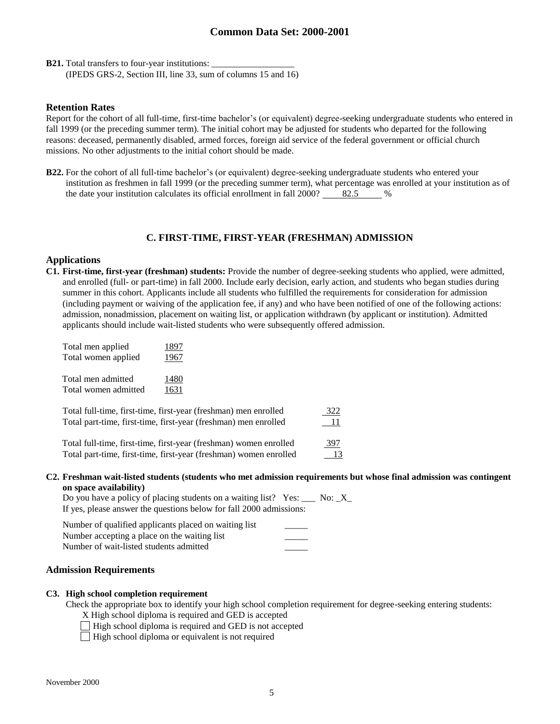**B21.** Total transfers to four-year institutions: (IPEDS GRS-2, Section III, line 33, sum of columns 15 and 16)

#### **Retention Rates**

Report for the cohort of all full-time, first-time bachelor's (or equivalent) degree-seeking undergraduate students who entered in fall 1999 (or the preceding summer term). The initial cohort may be adjusted for students who departed for the following reasons: deceased, permanently disabled, armed forces, foreign aid service of the federal government or official church missions. No other adjustments to the initial cohort should be made.

**B22.** For the cohort of all full-time bachelor's (or equivalent) degree-seeking undergraduate students who entered your institution as freshmen in fall 1999 (or the preceding summer term), what percentage was enrolled at your institution as of the date your institution calculates its official enrollment in fall  $2000?$  82.5 %

### **C. FIRST-TIME, FIRST-YEAR (FRESHMAN) ADMISSION**

### **Applications**

**C1. First-time, first-year (freshman) students:** Provide the number of degree-seeking students who applied, were admitted, and enrolled (full- or part-time) in fall 2000. Include early decision, early action, and students who began studies during summer in this cohort. Applicants include all students who fulfilled the requirements for consideration for admission (including payment or waiving of the application fee, if any) and who have been notified of one of the following actions: admission, nonadmission, placement on waiting list, or application withdrawn (by applicant or institution). Admitted applicants should include wait-listed students who were subsequently offered admission.

| Total men applied<br>Total women applied |      |
|------------------------------------------|------|
| Total men admitted                       | 1480 |
| Total women admitted                     | 1631 |

| Total full-time, first-time, first-year (freshman) men enrolled   | <u>322</u> |
|-------------------------------------------------------------------|------------|
| Total part-time, first-time, first-year (freshman) men enrolled   | <u>_11</u> |
| Total full-time, first-time, first-year (freshman) women enrolled | 397        |

Total part-time, first-time, first-year (freshman) women enrolled 13

#### **C2. Freshman wait-listed students (students who met admission requirements but whose final admission was contingent on space availability)**

| Do you have a policy of placing students on a waiting list? Yes: $\frac{1}{1}$ No: $\frac{1}{1}$ No: |  |
|------------------------------------------------------------------------------------------------------|--|
| If yes, please answer the questions below for fall 2000 admissions:                                  |  |

#### **Admission Requirements**

#### **C3. High school completion requirement**

Check the appropriate box to identify your high school completion requirement for degree-seeking entering students:

- X High school diploma is required and GED is accepted
- $\Box$  High school diploma is required and GED is not accepted
- High school diploma or equivalent is not required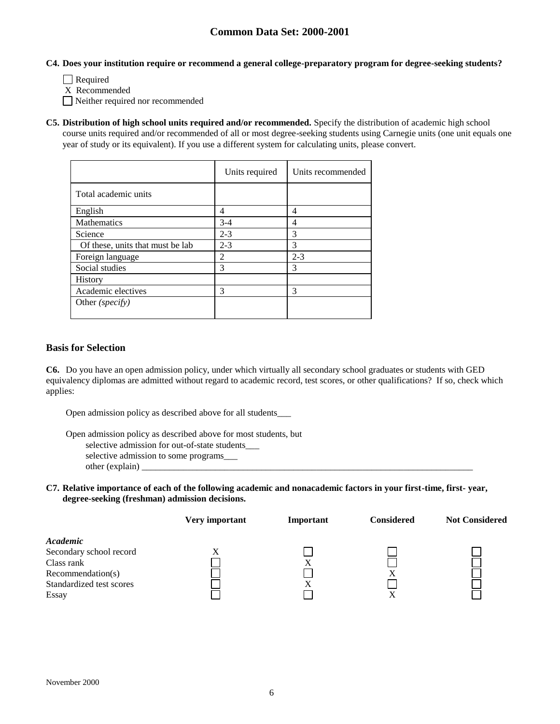#### **C4. Does your institution require or recommend a general college-preparatory program for degree-seeking students?**

- Required
- X Recommended
- Neither required nor recommended
- **C5. Distribution of high school units required and/or recommended.** Specify the distribution of academic high school course units required and/or recommended of all or most degree-seeking students using Carnegie units (one unit equals one year of study or its equivalent). If you use a different system for calculating units, please convert.

|                                  | Units required | Units recommended |
|----------------------------------|----------------|-------------------|
| Total academic units             |                |                   |
| English                          | 4              | 4                 |
| <b>Mathematics</b>               | $3-4$          | 4                 |
| Science                          | $2 - 3$        | 3                 |
| Of these, units that must be lab | $2 - 3$        | 3                 |
| Foreign language                 | 2              | $2 - 3$           |
| Social studies                   | 3              | 3                 |
| History                          |                |                   |
| Academic electives               | 3              | 3                 |
| Other ( <i>specify</i> )         |                |                   |

### **Basis for Selection**

**C6.** Do you have an open admission policy, under which virtually all secondary school graduates or students with GED equivalency diplomas are admitted without regard to academic record, test scores, or other qualifications? If so, check which applies:

Open admission policy as described above for all students\_\_\_

Open admission policy as described above for most students, but selective admission for out-of-state students\_\_\_ selective admission to some programs\_\_\_ other (explain) \_

#### **C7. Relative importance of each of the following academic and nonacademic factors in your first-time, first- year, degree-seeking (freshman) admission decisions.**

|                          | Very important | Important | <b>Considered</b> | <b>Not Considered</b> |
|--------------------------|----------------|-----------|-------------------|-----------------------|
| Academic                 |                |           |                   |                       |
| Secondary school record  | $\Lambda$      |           |                   |                       |
| Class rank               |                | Х         |                   |                       |
| Recommendation(s)        |                |           | X                 |                       |
| Standardized test scores |                | X         |                   |                       |
| Essay                    |                |           | Λ                 |                       |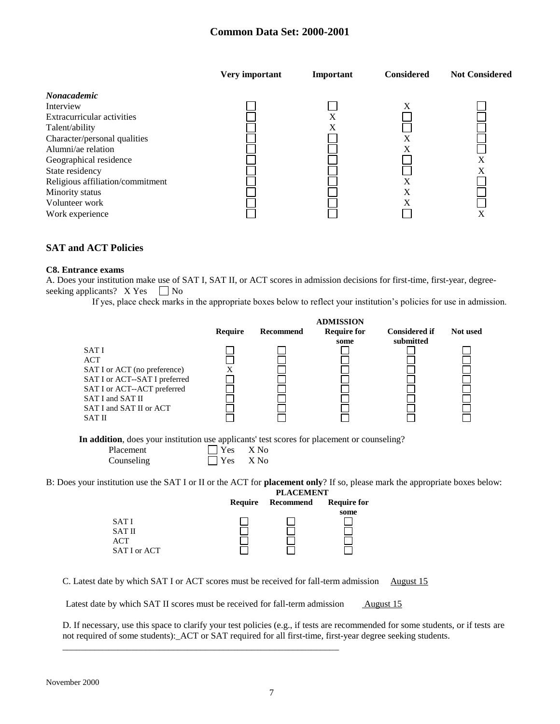|                                  | Very important | Important | <b>Considered</b> | <b>Not Considered</b> |
|----------------------------------|----------------|-----------|-------------------|-----------------------|
| <i>Nonacademic</i>               |                |           |                   |                       |
| Interview                        |                |           | X                 |                       |
| Extracurricular activities       |                | X         |                   |                       |
| Talent/ability                   |                | Χ         |                   |                       |
| Character/personal qualities     |                |           | Х                 |                       |
| Alumni/ae relation               |                |           | X                 |                       |
| Geographical residence           |                |           |                   | X                     |
| State residency                  |                |           |                   | X                     |
| Religious affiliation/commitment |                |           | X                 |                       |
| Minority status                  |                |           | X                 |                       |
| Volunteer work                   |                |           | X                 |                       |
| Work experience                  |                |           |                   | Х                     |

# **SAT and ACT Policies**

#### **C8. Entrance exams**

A. Does your institution make use of SAT I, SAT II, or ACT scores in admission decisions for first-time, first-year, degreeseeking applicants?  $X Yes \tN$ o

If yes, place check marks in the appropriate boxes below to reflect your institution's policies for use in admission.

**ADMISSION**

|                                                                                                                                                                                                                                                               |                |                                  | <b>ADMINDIUM</b>   |                      |          |
|---------------------------------------------------------------------------------------------------------------------------------------------------------------------------------------------------------------------------------------------------------------|----------------|----------------------------------|--------------------|----------------------|----------|
|                                                                                                                                                                                                                                                               | Require        | <b>Recommend</b>                 | <b>Require for</b> | <b>Considered if</b> | Not used |
|                                                                                                                                                                                                                                                               |                |                                  | some               | submitted            |          |
| <b>SATI</b>                                                                                                                                                                                                                                                   |                |                                  |                    |                      |          |
| <b>ACT</b>                                                                                                                                                                                                                                                    |                |                                  |                    |                      |          |
| SAT I or ACT (no preference)                                                                                                                                                                                                                                  | X              |                                  |                    |                      |          |
| SAT I or ACT--SAT I preferred                                                                                                                                                                                                                                 |                |                                  |                    |                      |          |
| SAT I or ACT--ACT preferred                                                                                                                                                                                                                                   |                |                                  |                    |                      |          |
| SAT I and SAT II                                                                                                                                                                                                                                              |                |                                  |                    |                      |          |
| SAT I and SAT II or ACT                                                                                                                                                                                                                                       |                |                                  |                    |                      |          |
| SAT II                                                                                                                                                                                                                                                        |                |                                  |                    |                      |          |
| In addition, does your institution use applicants' test scores for placement or counseling?<br>Placement<br>Counseling<br>B: Does your institution use the SAT I or II or the ACT for <b>placement only</b> ? If so, please mark the appropriate boxes below: | Yes<br>Yes     | X No<br>X No<br><b>PLACEMENT</b> |                    |                      |          |
|                                                                                                                                                                                                                                                               | <b>Require</b> | Recommend                        | <b>Require for</b> |                      |          |
|                                                                                                                                                                                                                                                               |                |                                  | some               |                      |          |
| SAT I                                                                                                                                                                                                                                                         |                |                                  |                    |                      |          |
| <b>SAT II</b>                                                                                                                                                                                                                                                 |                |                                  |                    |                      |          |
| <b>ACT</b>                                                                                                                                                                                                                                                    |                |                                  |                    |                      |          |
| SAT I or ACT                                                                                                                                                                                                                                                  |                |                                  |                    |                      |          |

C. Latest date by which SAT I or ACT scores must be received for fall-term admission August 15

Latest date by which SAT II scores must be received for fall-term admission August 15

\_\_\_\_\_\_\_\_\_\_\_\_\_\_\_\_\_\_\_\_\_\_\_\_\_\_\_\_\_\_\_\_\_\_\_\_\_\_\_\_\_\_\_\_\_\_\_\_\_\_\_\_\_\_\_\_\_\_\_\_

D. If necessary, use this space to clarify your test policies (e.g., if tests are recommended for some students, or if tests are not required of some students):\_ACT or SAT required for all first-time, first-year degree seeking students.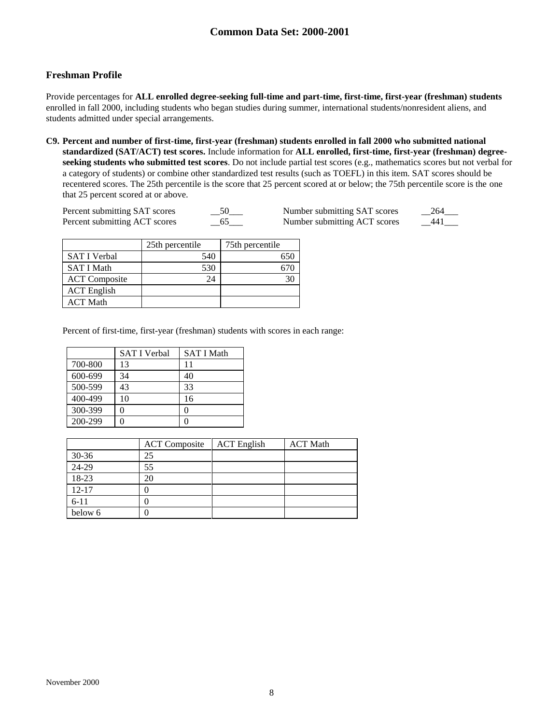# **Freshman Profile**

Provide percentages for **ALL enrolled degree-seeking full-time and part-time, first-time, first-year (freshman) students**  enrolled in fall 2000, including students who began studies during summer, international students/nonresident aliens, and students admitted under special arrangements.

**C9. Percent and number of first-time, first-year (freshman) students enrolled in fall 2000 who submitted national standardized (SAT/ACT) test scores.** Include information for **ALL enrolled, first-time, first-year (freshman) degreeseeking students who submitted test scores**. Do not include partial test scores (e.g., mathematics scores but not verbal for a category of students) or combine other standardized test results (such as TOEFL) in this item. SAT scores should be recentered scores. The 25th percentile is the score that 25 percent scored at or below; the 75th percentile score is the one that 25 percent scored at or above.

| Percent submitting SAT scores | - 50 | Number submitting SAT scores | 264   |
|-------------------------------|------|------------------------------|-------|
| Percent submitting ACT scores | - 65 | Number submitting ACT scores | - 441 |

| Number submitting SAT scores | 264 |
|------------------------------|-----|
| Number submitting ACT scores | 441 |

|                      | 25th percentile | 75th percentile |
|----------------------|-----------------|-----------------|
| <b>SAT I Verbal</b>  | 540             |                 |
| <b>SAT I Math</b>    | 530             |                 |
| <b>ACT</b> Composite | 24              |                 |
| <b>ACT</b> English   |                 |                 |
| ACT Math             |                 |                 |

Percent of first-time, first-year (freshman) students with scores in each range:

|         | <b>SAT I Verbal</b> | <b>SAT I Math</b> |
|---------|---------------------|-------------------|
| 700-800 | 13                  | 11                |
| 600-699 | 34                  | 40                |
| 500-599 | 43                  | 33                |
| 400-499 | 10                  | 16                |
| 300-399 | 0                   |                   |
| 200-299 |                     |                   |

|           | <b>ACT</b> Composite | <b>ACT</b> English | <b>ACT Math</b> |
|-----------|----------------------|--------------------|-----------------|
| $30-36$   | 25                   |                    |                 |
| 24-29     | 55                   |                    |                 |
| 18-23     | 20                   |                    |                 |
| $12 - 17$ |                      |                    |                 |
| $6 - 11$  |                      |                    |                 |
| below 6   |                      |                    |                 |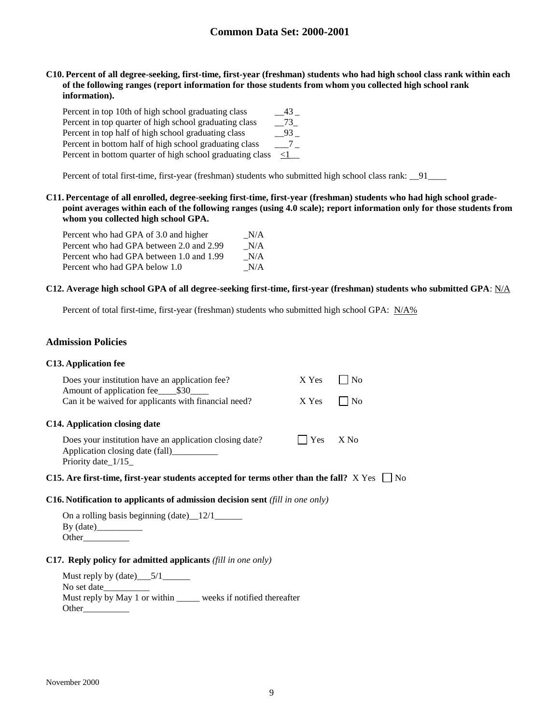**C10. Percent of all degree-seeking, first-time, first-year (freshman) students who had high school class rank within each of the following ranges (report information for those students from whom you collected high school rank information).**

| Percent in top 10th of high school graduating class       | 43       |
|-----------------------------------------------------------|----------|
| Percent in top quarter of high school graduating class    | 73       |
| Percent in top half of high school graduating class       | - 93     |
| Percent in bottom half of high school graduating class    |          |
| Percent in bottom quarter of high school graduating class | $\leq$ 1 |

Percent of total first-time, first-year (freshman) students who submitted high school class rank: \_\_91\_\_\_\_\_

**C11. Percentage of all enrolled, degree-seeking first-time, first-year (freshman) students who had high school gradepoint averages within each of the following ranges (using 4.0 scale); report information only for those students from whom you collected high school GPA.**

| Percent who had GPA of 3.0 and higher    | N/A |
|------------------------------------------|-----|
| Percent who had GPA between 2.0 and 2.99 | N/A |
| Percent who had GPA between 1.0 and 1.99 | N/A |
| Percent who had GPA below 1.0            | N/A |

#### **C12. Average high school GPA of all degree-seeking first-time, first-year (freshman) students who submitted GPA**: N/A

Percent of total first-time, first-year (freshman) students who submitted high school GPA: N/A%

### **Admission Policies**

#### **C13. Application fee**

| Does your institution have an application fee?<br>Amount of application fee \$30<br>Can it be waived for applicants with financial need? | X Yes<br>X Yes | No<br>l No |                |
|------------------------------------------------------------------------------------------------------------------------------------------|----------------|------------|----------------|
| C14. Application closing date                                                                                                            |                |            |                |
| Does your institution have an application closing date?<br>Application closing date (fall)<br>Priority date 1/15                         | Yes            | $X$ No     |                |
| C15. Are first-time, first-year students accepted for terms other than the fall? $X$ Yes $\Box$                                          |                |            | N <sub>0</sub> |

#### **C16. Notification to applicants of admission decision sent** *(fill in one only)*

On a rolling basis beginning  $(data)$   $12/1$ By (date)\_\_\_\_\_\_\_\_\_\_ Other\_\_\_\_\_\_\_\_\_\_

#### **C17. Reply policy for admitted applicants** *(fill in one only)*

Must reply by (date)\_\_\_5/1\_\_\_\_\_\_ No set date Must reply by May 1 or within \_\_\_\_\_ weeks if notified thereafter Other\_\_\_\_\_\_\_\_\_\_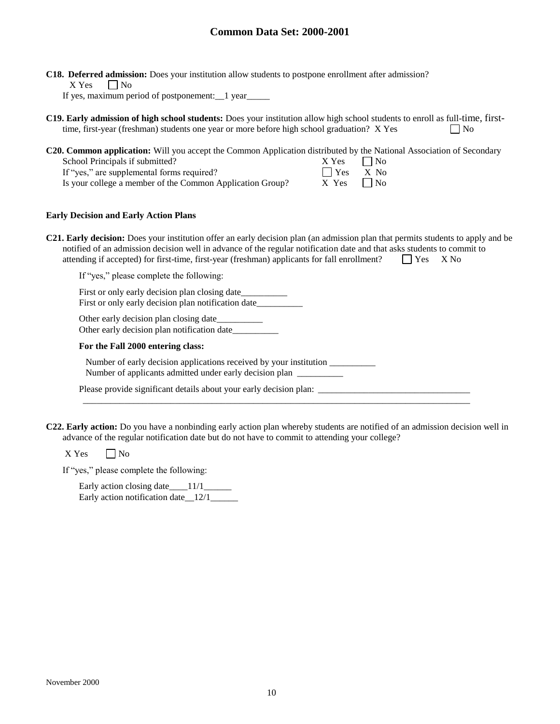**C18. Deferred admission:** Does your institution allow students to postpone enrollment after admission?  $X$  Yes  $\Box$  No

If yes, maximum period of postponement:\_\_1 year\_\_\_\_\_

**C19. Early admission of high school students:** Does your institution allow high school students to enroll as full-time, firsttime, first-year (freshman) students one year or more before high school graduation? X Yes  $\Box$  No

**C20. Common application:** Will you accept the Common Application distributed by the National Association of Secondary

| School Principals if submitted?                           | X Yes              | $\Box$ No |
|-----------------------------------------------------------|--------------------|-----------|
| If "yes," are supplemental forms required?                | $\bigcap$ Yes X No |           |
| Is your college a member of the Common Application Group? | $X$ Yes $N_0$      |           |

#### **Early Decision and Early Action Plans**

| <b>C21. Early decision:</b> Does your institution offer an early decision plan (an admission plan that permits students to apply and be |                    |  |
|-----------------------------------------------------------------------------------------------------------------------------------------|--------------------|--|
| notified of an admission decision well in advance of the regular notification date and that asks students to commit to                  |                    |  |
| attending if accepted) for first-time, first-year (freshman) applicants for fall enrollment?                                            | $\bigcap$ Yes X No |  |

If "yes," please complete the following:

First or only early decision plan closing date First or only early decision plan notification date\_\_\_\_\_\_\_\_\_

Other early decision plan closing date Other early decision plan notification date\_\_\_\_\_\_\_\_\_\_

#### **For the Fall 2000 entering class:**

Number of early decision applications received by your institution \_\_\_\_\_\_\_\_\_\_\_\_\_ Number of applicants admitted under early decision plan \_\_\_\_\_\_\_\_\_\_\_

Please provide significant details about your early decision plan: \_\_\_\_\_\_\_\_\_\_\_\_\_\_\_\_\_\_\_\_\_\_\_\_\_\_\_\_\_\_\_\_\_

**C22. Early action:** Do you have a nonbinding early action plan whereby students are notified of an admission decision well in advance of the regular notification date but do not have to commit to attending your college?

\_\_\_\_\_\_\_\_\_\_\_\_\_\_\_\_\_\_\_\_\_\_\_\_\_\_\_\_\_\_\_\_\_\_\_\_\_\_\_\_\_\_\_\_\_\_\_\_\_\_\_\_\_\_\_\_\_\_\_\_\_\_\_\_\_\_\_\_\_\_\_\_\_\_\_\_\_\_\_\_\_\_\_\_

 $X$  Yes  $\Box$  No

If "yes," please complete the following:

Early action closing date\_\_\_\_11/1\_ Early action notification date 12/1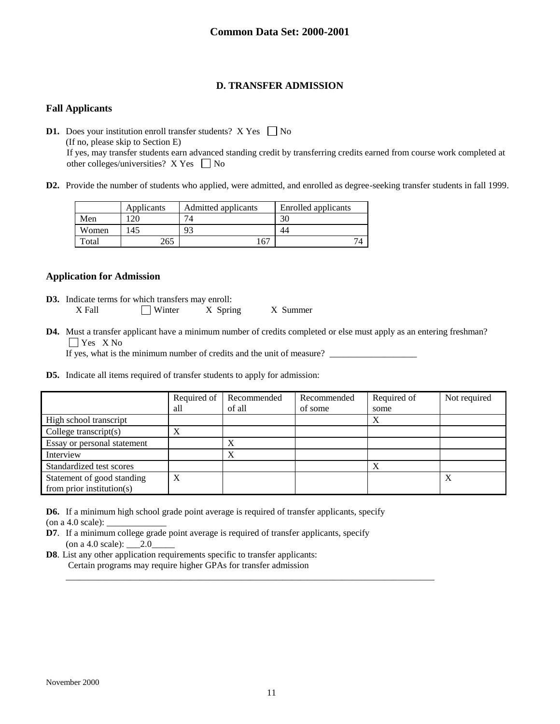# **D. TRANSFER ADMISSION**

### **Fall Applicants**

**D1.** Does your institution enroll transfer students?  $X$  Yes  $\Box$  No (If no, please skip to Section E) If yes, may transfer students earn advanced standing credit by transferring credits earned from course work completed at other colleges/universities?  $X$  Yes  $\Box$  No

**D2.** Provide the number of students who applied, were admitted, and enrolled as degree-seeking transfer students in fall 1999.

|       | Applicants | Admitted applicants | Enrolled applicants |
|-------|------------|---------------------|---------------------|
| Men   | n C        | $7\Lambda$          | 30                  |
| Women | 145        | 93                  |                     |
| Total | 265        | 67                  |                     |

### **Application for Admission**

- **D3.** Indicate terms for which transfers may enroll: X Fall Winter X Spring X Summer
- **D4.** Must a transfer applicant have a minimum number of credits completed or else must apply as an entering freshman? **T** Yes X No

If yes, what is the minimum number of credits and the unit of measure?

**D5.** Indicate all items required of transfer students to apply for admission:

|                                                         | Required of<br>all | Recommended<br>of all | Recommended<br>of some | Required of<br>some | Not required |
|---------------------------------------------------------|--------------------|-----------------------|------------------------|---------------------|--------------|
| High school transcript                                  |                    |                       |                        |                     |              |
| College transcript $(s)$                                | X                  |                       |                        |                     |              |
| Essay or personal statement                             |                    | X                     |                        |                     |              |
| Interview                                               |                    | Х                     |                        |                     |              |
| Standardized test scores                                |                    |                       |                        | Х                   |              |
| Statement of good standing<br>from prior institution(s) | X                  |                       |                        |                     | Λ            |

**D6.** If a minimum high school grade point average is required of transfer applicants, specify

(on a 4.0 scale):  $\overline{\phantom{a}}$ 

- **D7**. If a minimum college grade point average is required of transfer applicants, specify (on a 4.0 scale):  $\_\_2.0$
- **D8**. List any other application requirements specific to transfer applicants: Certain programs may require higher GPAs for transfer admission

\_\_\_\_\_\_\_\_\_\_\_\_\_\_\_\_\_\_\_\_\_\_\_\_\_\_\_\_\_\_\_\_\_\_\_\_\_\_\_\_\_\_\_\_\_\_\_\_\_\_\_\_\_\_\_\_\_\_\_\_\_\_\_\_\_\_\_\_\_\_\_\_\_\_\_\_\_\_\_\_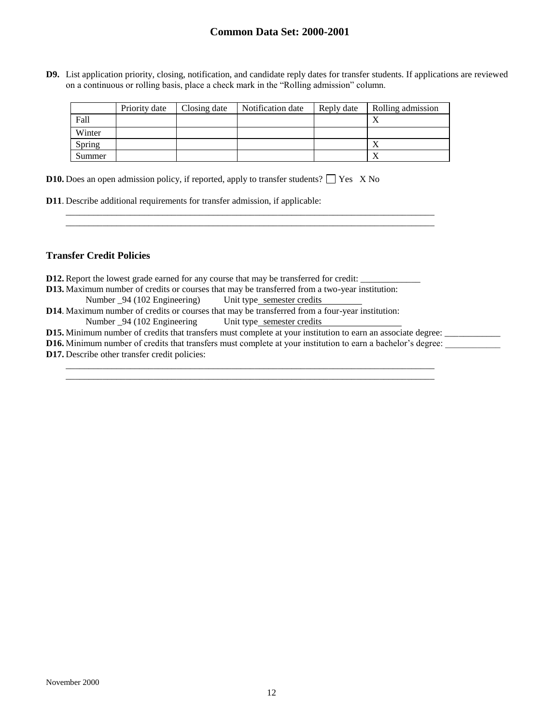**D9.** List application priority, closing, notification, and candidate reply dates for transfer students. If applications are reviewed on a continuous or rolling basis, place a check mark in the "Rolling admission" column.

|        | Priority date | Closing date | Notification date | Reply date | Rolling admission |
|--------|---------------|--------------|-------------------|------------|-------------------|
| Fall   |               |              |                   |            |                   |
| Winter |               |              |                   |            |                   |
| Spring |               |              |                   |            |                   |
| Summer |               |              |                   |            |                   |

\_\_\_\_\_\_\_\_\_\_\_\_\_\_\_\_\_\_\_\_\_\_\_\_\_\_\_\_\_\_\_\_\_\_\_\_\_\_\_\_\_\_\_\_\_\_\_\_\_\_\_\_\_\_\_\_\_\_\_\_\_\_\_\_\_\_\_\_\_\_\_\_\_\_\_\_\_\_\_\_ \_\_\_\_\_\_\_\_\_\_\_\_\_\_\_\_\_\_\_\_\_\_\_\_\_\_\_\_\_\_\_\_\_\_\_\_\_\_\_\_\_\_\_\_\_\_\_\_\_\_\_\_\_\_\_\_\_\_\_\_\_\_\_\_\_\_\_\_\_\_\_\_\_\_\_\_\_\_\_\_

**D10.** Does an open admission policy, if reported, apply to transfer students?  $\Box$  Yes X No

| <b>D11.</b> Describe additional requirements for transfer admission, if applicable: |
|-------------------------------------------------------------------------------------|
|-------------------------------------------------------------------------------------|

### **Transfer Credit Policies**

| <b>D12.</b> Report the lowest grade earned for any course that may be transferred for credit:                       |  |  |  |  |
|---------------------------------------------------------------------------------------------------------------------|--|--|--|--|
| <b>D13.</b> Maximum number of credits or courses that may be transferred from a two-year institution:               |  |  |  |  |
| Number _94 (102 Engineering) Unit type_semester credits                                                             |  |  |  |  |
| <b>D14.</b> Maximum number of credits or courses that may be transferred from a four-year institution:              |  |  |  |  |
| Number _94 (102 Engineering Unit type semester credits                                                              |  |  |  |  |
| <b>D15.</b> Minimum number of credits that transfers must complete at your institution to earn an associate degree: |  |  |  |  |
| <b>D16.</b> Minimum number of credits that transfers must complete at your institution to earn a bachelor's degree: |  |  |  |  |
| <b>D17.</b> Describe other transfer credit policies:                                                                |  |  |  |  |

\_\_\_\_\_\_\_\_\_\_\_\_\_\_\_\_\_\_\_\_\_\_\_\_\_\_\_\_\_\_\_\_\_\_\_\_\_\_\_\_\_\_\_\_\_\_\_\_\_\_\_\_\_\_\_\_\_\_\_\_\_\_\_\_\_\_\_\_\_\_\_\_\_\_\_\_\_\_\_\_ \_\_\_\_\_\_\_\_\_\_\_\_\_\_\_\_\_\_\_\_\_\_\_\_\_\_\_\_\_\_\_\_\_\_\_\_\_\_\_\_\_\_\_\_\_\_\_\_\_\_\_\_\_\_\_\_\_\_\_\_\_\_\_\_\_\_\_\_\_\_\_\_\_\_\_\_\_\_\_\_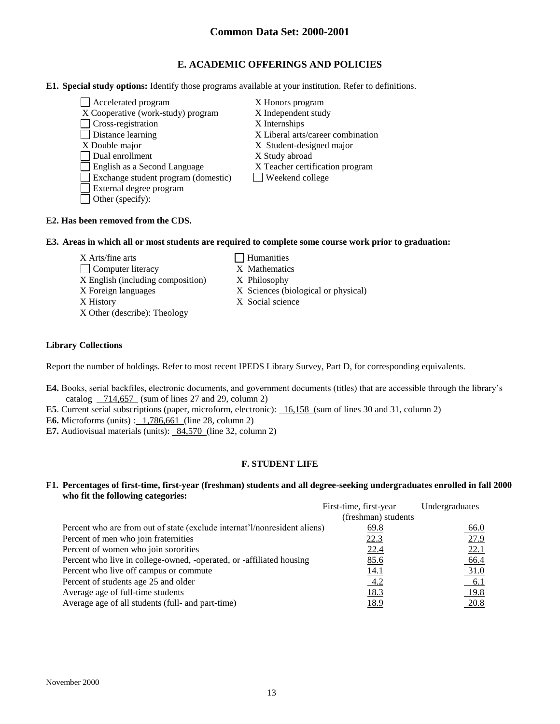### **E. ACADEMIC OFFERINGS AND POLICIES**

#### **E1. Special study options:** Identify those programs available at your institution. Refer to definitions.

Accelerated program X Honors program X Cooperative (work-study) program X Independent study □ Cross-registration X Internships Distance learning X Liberal arts/career combination X Double major X Student-designed major Dual enrollment X Study abroad English as a Second Language X Teacher certification program Exchange student program (domestic) Veekend college External degree program Other (specify):

# **E2. Has been removed from the CDS.**

#### **E3. Areas in which all or most students are required to complete some course work prior to graduation:**

 $X$  Arts/fine arts  $\Box$  Humanities

X Other (describe): Theology

- □ Computer literacy X Mathematics
- X English (including composition) X Philosophy
- X Foreign languages X Sciences (biological or physical)
- X History X Social science

#### **Library Collections**

Report the number of holdings. Refer to most recent IPEDS Library Survey, Part D, for corresponding equivalents.

- **E4.** Books, serial backfiles, electronic documents, and government documents (titles) that are accessible through the library's catalog 714,657 (sum of lines 27 and 29, column 2)
- **E5**. Current serial subscriptions (paper, microform, electronic): 16,158 (sum of lines 30 and 31, column 2)

**E6.** Microforms (units) : 1,786,661 (line 28, column 2)

**E7.** Audiovisual materials (units): 84,570 (line 32, column 2)

### **F. STUDENT LIFE**

#### **F1. Percentages of first-time, first-year (freshman) students and all degree-seeking undergraduates enrolled in fall 2000 who fit the following categories:**

|                                                                           | First-time, first-year | Undergraduates |
|---------------------------------------------------------------------------|------------------------|----------------|
|                                                                           | (freshman) students    |                |
| Percent who are from out of state (exclude internat'l/nonresident aliens) | 69.8                   | <u>66.0</u>    |
| Percent of men who join fraternities                                      | 22.3                   | 27.9           |
| Percent of women who join sororities                                      | 22.4                   | 22.1           |
| Percent who live in college-owned, -operated, or -affiliated housing      | 85.6                   | 66.4           |
| Percent who live off campus or commute                                    | <u>14.1</u>            | 31.0           |
| Percent of students age 25 and older                                      | 4.2                    | $-6.1$         |
| Average age of full-time students                                         | <u>18.3</u>            | 19.8           |
| Average age of all students (full- and part-time)                         | 18.9                   | 20.8           |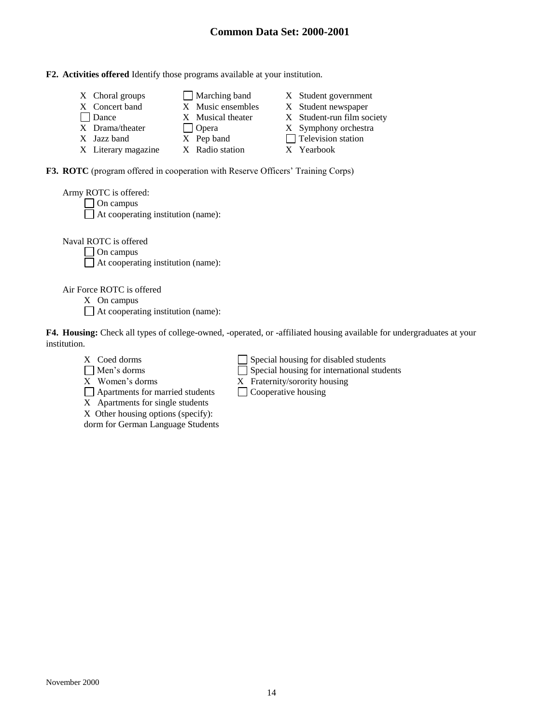#### **F2. Activities offered** Identify those programs available at your institution.

| X Choral groups     | $\Box$ Marching band | X Student government       |
|---------------------|----------------------|----------------------------|
| X Concert band      | X Music ensembles    | X Student newspaper        |
| Dance               | X Musical theater    | X Student-run film society |
| X Drama/theater     | $\vert$ Opera        | X Symphony orchestra       |
| X Jazz band         | X Pep band           | $\Box$ Television station  |
| X Literary magazine | X Radio station      | X Yearbook                 |

**F3. ROTC** (program offered in cooperation with Reserve Officers' Training Corps)

| Army ROTC is offered:                     |
|-------------------------------------------|
| $\Box$ On campus                          |
| $\Box$ At cooperating institution (name): |
|                                           |

Naval ROTC is offered

□ On campus At cooperating institution (name):

Air Force ROTC is offered

X On campus

At cooperating institution (name):

**F4. Housing:** Check all types of college-owned, -operated, or -affiliated housing available for undergraduates at your institution.

- 
- 
- 

X Women's dorms  $X$  Fraternity/sorority housing<br>  $\Box$  Apartments for married students  $\Box$  Cooperative housing  $\Box$  Apartments for married students

X Apartments for single students

X Other housing options (specify):

dorm for German Language Students

 $X$  Coed dorms  $\Box$  Special housing for disabled students

Men's dorms Special housing for international students

- 
-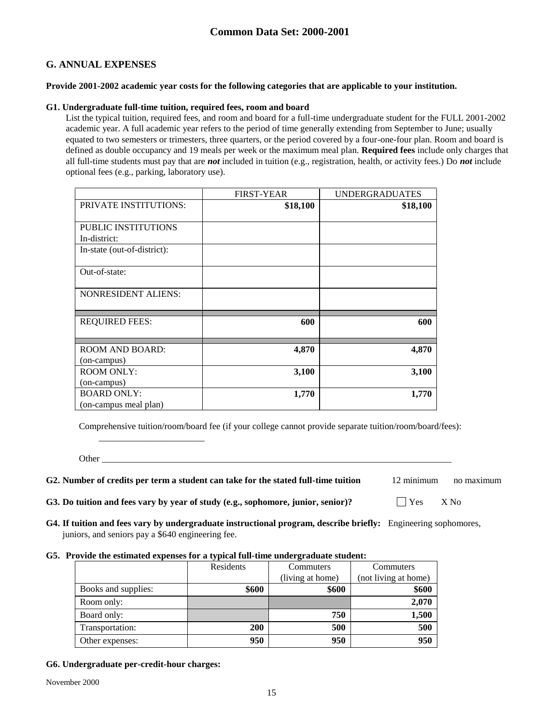### **G. ANNUAL EXPENSES**

### **Provide 2001-2002 academic year costs for the following categories that are applicable to your institution.**

### **G1. Undergraduate full-time tuition, required fees, room and board**

List the typical tuition, required fees, and room and board for a full-time undergraduate student for the FULL 2001-2002 academic year. A full academic year refers to the period of time generally extending from September to June; usually equated to two semesters or trimesters, three quarters, or the period covered by a four-one-four plan. Room and board is defined as double occupancy and 19 meals per week or the maximum meal plan. **Required fees** include only charges that all full-time students must pay that are *not* included in tuition (e.g., registration, health, or activity fees.) Do *not* include optional fees (e.g., parking, laboratory use).

|                              | <b>FIRST-YEAR</b> | <b>UNDERGRADUATES</b> |
|------------------------------|-------------------|-----------------------|
| <b>PRIVATE INSTITUTIONS:</b> | \$18,100          | \$18,100              |
|                              |                   |                       |
| <b>PUBLIC INSTITUTIONS</b>   |                   |                       |
| In-district:                 |                   |                       |
| In-state (out-of-district):  |                   |                       |
|                              |                   |                       |
| Out-of-state:                |                   |                       |
|                              |                   |                       |
| <b>NONRESIDENT ALIENS:</b>   |                   |                       |
|                              |                   |                       |
|                              |                   |                       |
| <b>REQUIRED FEES:</b>        | 600               | 600                   |
|                              |                   |                       |
| <b>ROOM AND BOARD:</b>       | 4,870             | 4,870                 |
| (on-campus)                  |                   |                       |
| <b>ROOM ONLY:</b>            | 3,100             | 3,100                 |
| (on-campus)                  |                   |                       |
| <b>BOARD ONLY:</b>           | 1,770             | 1,770                 |
| (on-campus meal plan)        |                   |                       |

Comprehensive tuition/room/board fee (if your college cannot provide separate tuition/room/board/fees):

Other  $\Box$ 

\_\_\_\_\_\_\_\_\_\_\_\_\_\_\_\_\_\_\_\_\_\_\_

**G2. Number of credits per term a student can take for the stated full-time tuition** 12 minimum no maximum

- **G3.** Do tuition and fees vary by year of study (e.g., sophomore, junior, senior)?  $\Box$  Yes X No
- **G4. If tuition and fees vary by undergraduate instructional program, describe briefly:** Engineering sophomores, juniors, and seniors pay a \$640 engineering fee.

### **G5. Provide the estimated expenses for a typical full-time undergraduate student:**

|                     | Residents | Commuters        | Commuters            |
|---------------------|-----------|------------------|----------------------|
|                     |           | (living at home) | (not living at home) |
| Books and supplies: | \$600     | \$600            | \$600                |
| Room only:          |           |                  | 2,070                |
| Board only:         |           | 750              | 1,500                |
| Transportation:     | 200       | 500              | 500                  |
| Other expenses:     | 950       | 950              | 950                  |

### **G6. Undergraduate per-credit-hour charges:**

November 2000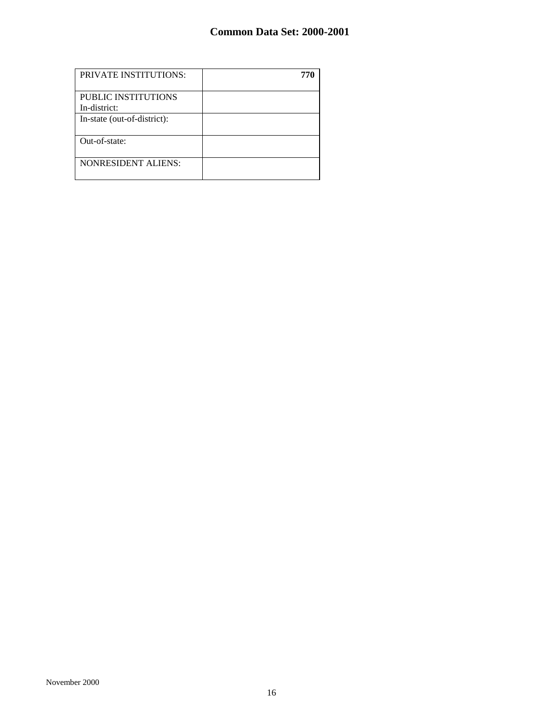| <b>PRIVATE INSTITUTIONS:</b>        |  |
|-------------------------------------|--|
| PUBLIC INSTITUTIONS<br>In-district: |  |
| In-state (out-of-district):         |  |
| Out-of-state:                       |  |
| <b>NONRESIDENT ALIENS:</b>          |  |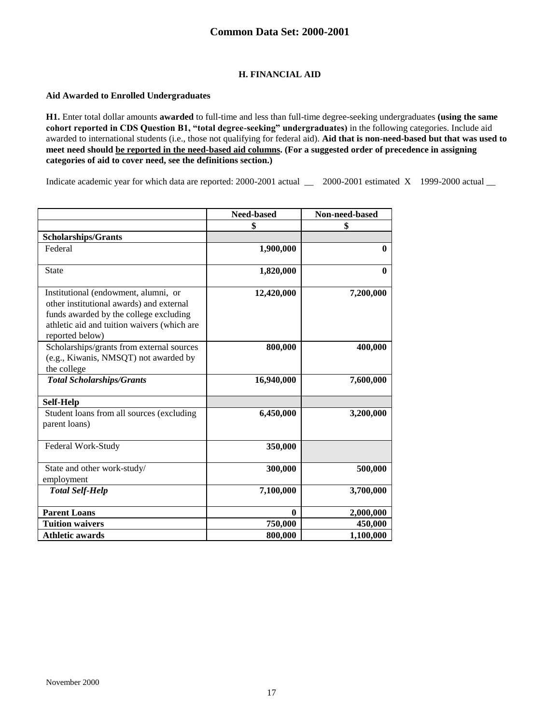### **H. FINANCIAL AID**

### **Aid Awarded to Enrolled Undergraduates**

**H1.** Enter total dollar amounts **awarded** to full-time and less than full-time degree-seeking undergraduates **(using the same cohort reported in CDS Question B1, "total degree-seeking" undergraduates)** in the following categories. Include aid awarded to international students (i.e., those not qualifying for federal aid). **Aid that is non-need-based but that was used to meet need should be reported in the need-based aid columns. (For a suggested order of precedence in assigning categories of aid to cover need, see the definitions section.)**

Indicate academic year for which data are reported: 2000-2001 actual \_\_ 2000-2001 estimated X 1999-2000 actual \_\_

|                                                                                                                                                                                              | Need-based | Non-need-based |
|----------------------------------------------------------------------------------------------------------------------------------------------------------------------------------------------|------------|----------------|
|                                                                                                                                                                                              | \$         | \$             |
| <b>Scholarships/Grants</b>                                                                                                                                                                   |            |                |
| Federal                                                                                                                                                                                      | 1,900,000  | $\mathbf{0}$   |
| <b>State</b>                                                                                                                                                                                 | 1,820,000  | $\mathbf{0}$   |
| Institutional (endowment, alumni, or<br>other institutional awards) and external<br>funds awarded by the college excluding<br>athletic aid and tuition waivers (which are<br>reported below) | 12,420,000 | 7,200,000      |
| Scholarships/grants from external sources<br>(e.g., Kiwanis, NMSQT) not awarded by<br>the college                                                                                            | 800,000    | 400,000        |
| <b>Total Scholarships/Grants</b>                                                                                                                                                             | 16,940,000 | 7,600,000      |
| Self-Help                                                                                                                                                                                    |            |                |
| Student loans from all sources (excluding<br>parent loans)                                                                                                                                   | 6,450,000  | 3,200,000      |
| Federal Work-Study                                                                                                                                                                           | 350,000    |                |
| State and other work-study/<br>employment                                                                                                                                                    | 300,000    | 500,000        |
| <b>Total Self-Help</b>                                                                                                                                                                       | 7,100,000  | 3,700,000      |
| <b>Parent Loans</b>                                                                                                                                                                          | 0          | 2,000,000      |
| <b>Tuition waivers</b>                                                                                                                                                                       | 750,000    | 450,000        |
| <b>Athletic awards</b>                                                                                                                                                                       | 800,000    | 1,100,000      |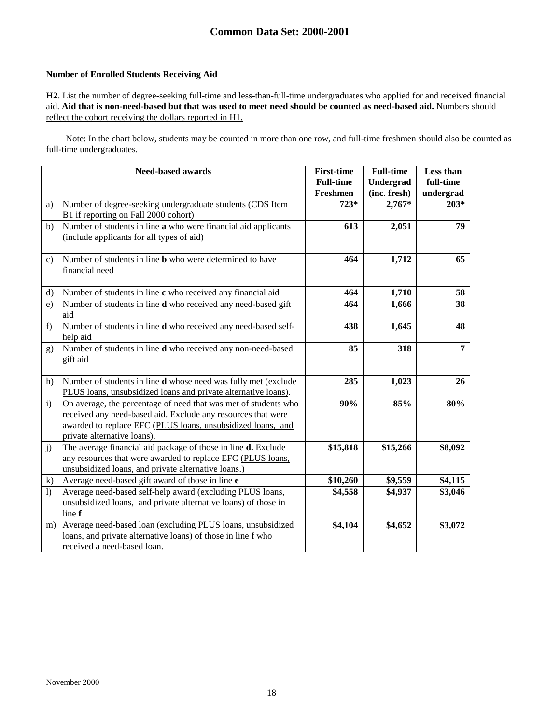### **Number of Enrolled Students Receiving Aid**

**H2**. List the number of degree-seeking full-time and less-than-full-time undergraduates who applied for and received financial aid. **Aid that is non-need-based but that was used to meet need should be counted as need-based aid.** Numbers should reflect the cohort receiving the dollars reported in H1.

Note: In the chart below, students may be counted in more than one row, and full-time freshmen should also be counted as full-time undergraduates.

|                  | <b>Need-based awards</b>                                                                                                                                                                                                      | <b>First-time</b><br><b>Full-time</b><br>Freshmen | <b>Full-time</b><br>Undergrad<br>(inc. fresh) | Less than<br>full-time<br>undergrad |
|------------------|-------------------------------------------------------------------------------------------------------------------------------------------------------------------------------------------------------------------------------|---------------------------------------------------|-----------------------------------------------|-------------------------------------|
| a)               | Number of degree-seeking undergraduate students (CDS Item<br>B1 if reporting on Fall 2000 cohort)                                                                                                                             | $723*$                                            | $2,767*$                                      | $203*$                              |
| b)               | Number of students in line a who were financial aid applicants<br>(include applicants for all types of aid)                                                                                                                   | 613                                               | 2,051                                         | 79                                  |
| $\mathbf{c}$     | Number of students in line <b>b</b> who were determined to have<br>financial need                                                                                                                                             | 464                                               | 1,712                                         | 65                                  |
| d)               | Number of students in line c who received any financial aid                                                                                                                                                                   | 464                                               | 1,710                                         | 58                                  |
| e)               | Number of students in line d who received any need-based gift<br>aid                                                                                                                                                          | 464                                               | 1,666                                         | 38                                  |
| f)               | Number of students in line d who received any need-based self-<br>help aid                                                                                                                                                    | 438                                               | 1,645                                         | 48                                  |
| g)               | Number of students in line d who received any non-need-based<br>gift aid                                                                                                                                                      | 85                                                | 318                                           | $\overline{7}$                      |
| h)               | Number of students in line d whose need was fully met (exclude<br>PLUS loans, unsubsidized loans and private alternative loans).                                                                                              | 285                                               | 1,023                                         | 26                                  |
| $\mathbf{i}$     | On average, the percentage of need that was met of students who<br>received any need-based aid. Exclude any resources that were<br>awarded to replace EFC (PLUS loans, unsubsidized loans, and<br>private alternative loans). | 90%                                               | 85%                                           | 80%                                 |
| j)               | The average financial aid package of those in line d. Exclude<br>any resources that were awarded to replace EFC (PLUS loans,<br>unsubsidized loans, and private alternative loans.)                                           | \$15,818                                          | \$15,266                                      | \$8,092                             |
| $\mathbf{k}$     | Average need-based gift award of those in line e                                                                                                                                                                              | \$10,260                                          | \$9,559                                       | \$4,115                             |
| $\left  \right $ | Average need-based self-help award (excluding PLUS loans,<br>unsubsidized loans, and private alternative loans) of those in<br>line f                                                                                         | \$4,558                                           | \$4,937                                       | \$3,046                             |
| m)               | Average need-based loan (excluding PLUS loans, unsubsidized<br>loans, and private alternative loans) of those in line f who<br>received a need-based loan.                                                                    | \$4,104                                           | \$4,652                                       | \$3,072                             |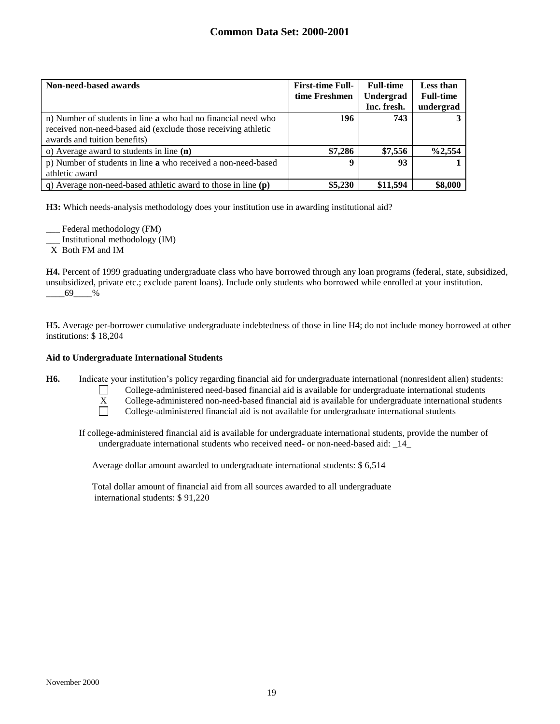| Non-need-based awards                                                                                                                                          | <b>First-time Full-</b><br>time Freshmen | <b>Full-time</b><br>Undergrad<br>Inc. fresh. | Less than<br><b>Full-time</b><br>undergrad |
|----------------------------------------------------------------------------------------------------------------------------------------------------------------|------------------------------------------|----------------------------------------------|--------------------------------------------|
| n) Number of students in line a who had no financial need who<br>received non-need-based aid (exclude those receiving athletic<br>awards and tuition benefits) | 196                                      | 743                                          |                                            |
| o) Average award to students in line $(n)$                                                                                                                     | \$7,286                                  | \$7,556                                      | $\%2,554$                                  |
| p) Number of students in line a who received a non-need-based<br>athletic award                                                                                | 9                                        | 93                                           |                                            |
| q) Average non-need-based at hetic award to those in line $(p)$                                                                                                | \$5,230                                  | \$11,594                                     | \$8,000                                    |

**H3:** Which needs-analysis methodology does your institution use in awarding institutional aid?

Federal methodology (FM) \_\_\_ Institutional methodology (IM) X Both FM and IM

**H4.** Percent of 1999 graduating undergraduate class who have borrowed through any loan programs (federal, state, subsidized, unsubsidized, private etc.; exclude parent loans). Include only students who borrowed while enrolled at your institution. \_\_\_\_69\_\_\_\_%

**H5.** Average per-borrower cumulative undergraduate indebtedness of those in line H4; do not include money borrowed at other institutions: \$ 18,204

### **Aid to Undergraduate International Students**

**H6.** Indicate your institution's policy regarding financial aid for undergraduate international (nonresident alien) students:



College-administered need-based financial aid is available for undergraduate international students

X College-administered non-need-based financial aid is available for undergraduate international students  $\Box$ 

College-administered financial aid is not available for undergraduate international students

If college-administered financial aid is available for undergraduate international students, provide the number of undergraduate international students who received need- or non-need-based aid: \_14\_

Average dollar amount awarded to undergraduate international students: \$ 6,514

Total dollar amount of financial aid from all sources awarded to all undergraduate international students: \$ 91,220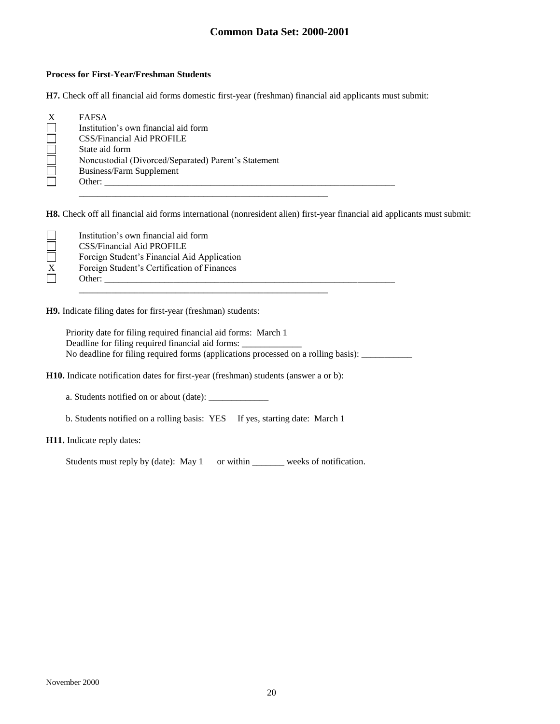#### **Process for First-Year/Freshman Students**

**H7.** Check off all financial aid forms domestic first-year (freshman) financial aid applicants must submit:

|                | Institution's own financial aid form                 |  |
|----------------|------------------------------------------------------|--|
|                | <b>CSS/Financial Aid PROFILE</b>                     |  |
| State aid form |                                                      |  |
|                | Noncustodial (Divorced/Separated) Parent's Statement |  |
|                | Business/Farm Supplement                             |  |
| Other:         |                                                      |  |

**H8.** Check off all financial aid forms international (nonresident alien) first-year financial aid applicants must submit:

| Institution's own financial aid form        |
|---------------------------------------------|
| <b>CSS/Financial Aid PROFILE</b>            |
| Foreign Student's Financial Aid Application |
| Foreign Student's Certification of Finances |
| Other:                                      |

**H9.** Indicate filing dates for first-year (freshman) students:

Priority date for filing required financial aid forms: March 1 Deadline for filing required financial aid forms: No deadline for filing required forms (applications processed on a rolling basis): \_\_\_\_\_\_\_\_\_\_

**H10.** Indicate notification dates for first-year (freshman) students (answer a or b):

a. Students notified on or about (date): \_\_\_\_\_\_\_\_\_\_\_\_\_

b. Students notified on a rolling basis: YES If yes, starting date: March 1

#### **H11.** Indicate reply dates:

Students must reply by (date): May 1 or within \_\_\_\_\_\_\_ weeks of notification.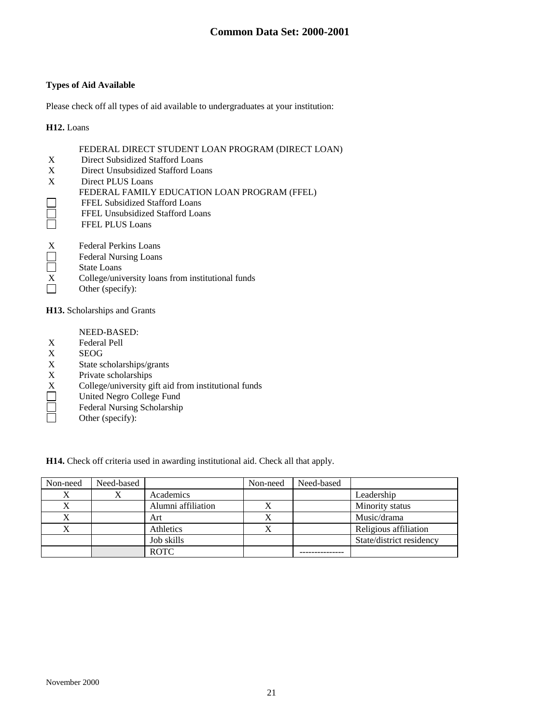### **Types of Aid Available**

Please check off all types of aid available to undergraduates at your institution:

#### **H12.** Loans

|              | FEDERAL DIRECT STUDENT LOAN PROGRAM (DIRECT LOAN) |
|--------------|---------------------------------------------------|
| X            | Direct Subsidized Stafford Loans                  |
| X            | Direct Unsubsidized Stafford Loans                |
| $\mathbf{X}$ | Direct PLUS Loans                                 |
|              | FEDERAL FAMILY EDUCATION LOAN PROGRAM (FFEL)      |
|              | FFEL Subsidized Stafford Loans                    |
|              | FFEL Unsubsidized Stafford Loans                  |
|              | <b>FFEL PLUS Loans</b>                            |
| X            | Federal Perkins Loans                             |
|              | -------                                           |

- Federal Nursing Loans  $\Box$
- Ō State Loans
- $X$  College/university loans from institutional funds<br>Other (specify):
- Other (specify):

**H13.** Scholarships and Grants

- NEED-BASED:
- X Federal Pell<br>X SEOG
- **SEOG**
- X State scholarships/grants
- X Private scholarships
- X College/university gift aid from institutional funds
- $\Box$ United Negro College Fund
- Federal Nursing Scholarship  $\Box$
- $\Box$ Other (specify):

**H14.** Check off criteria used in awarding institutional aid. Check all that apply.

| Non-need | Need-based |                    | Non-need | Need-based |                          |
|----------|------------|--------------------|----------|------------|--------------------------|
|          |            | Academics          |          |            | Leadership               |
|          |            | Alumni affiliation | X        |            | Minority status          |
|          |            | Art                | л        |            | Music/drama              |
|          |            | Athletics          | X        |            | Religious affiliation    |
|          |            | Job skills         |          |            | State/district residency |
|          |            | <b>ROTC</b>        |          |            |                          |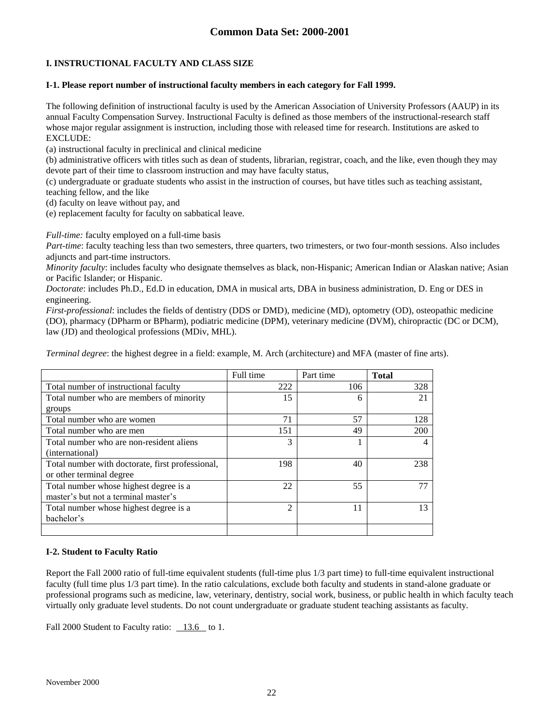## **I. INSTRUCTIONAL FACULTY AND CLASS SIZE**

### **I-1. Please report number of instructional faculty members in each category for Fall 1999.**

The following definition of instructional faculty is used by the American Association of University Professors (AAUP) in its annual Faculty Compensation Survey. Instructional Faculty is defined as those members of the instructional-research staff whose major regular assignment is instruction, including those with released time for research. Institutions are asked to EXCLUDE:

(a) instructional faculty in preclinical and clinical medicine

(b) administrative officers with titles such as dean of students, librarian, registrar, coach, and the like, even though they may devote part of their time to classroom instruction and may have faculty status,

(c) undergraduate or graduate students who assist in the instruction of courses, but have titles such as teaching assistant, teaching fellow, and the like

(d) faculty on leave without pay, and

(e) replacement faculty for faculty on sabbatical leave.

*Full-time:* faculty employed on a full-time basis

*Part-time*: faculty teaching less than two semesters, three quarters, two trimesters, or two four-month sessions. Also includes adjuncts and part-time instructors.

*Minority faculty*: includes faculty who designate themselves as black, non-Hispanic; American Indian or Alaskan native; Asian or Pacific Islander; or Hispanic.

*Doctorate*: includes Ph.D., Ed.D in education, DMA in musical arts, DBA in business administration, D. Eng or DES in engineering.

*First-professional*: includes the fields of dentistry (DDS or DMD), medicine (MD), optometry (OD), osteopathic medicine (DO), pharmacy (DPharm or BPharm), podiatric medicine (DPM), veterinary medicine (DVM), chiropractic (DC or DCM), law (JD) and theological professions (MDiv, MHL).

*Terminal degree*: the highest degree in a field: example, M. Arch (architecture) and MFA (master of fine arts).

|                                                  | Full time | Part time | <b>Total</b> |
|--------------------------------------------------|-----------|-----------|--------------|
| Total number of instructional faculty            | 222       | 106       | 328          |
| Total number who are members of minority         | 15        | 6         | 21           |
| groups                                           |           |           |              |
| Total number who are women                       | 71        | 57        | 128          |
| Total number who are men                         | 151       | 49        | 200          |
| Total number who are non-resident aliens         | 3         |           |              |
| (international)                                  |           |           |              |
| Total number with doctorate, first professional, | 198       | 40        | 238          |
| or other terminal degree                         |           |           |              |
| Total number whose highest degree is a           | 22        | 55        | 77           |
| master's but not a terminal master's             |           |           |              |
| Total number whose highest degree is a           | 2         | 11        | 13           |
| bachelor's                                       |           |           |              |
|                                                  |           |           |              |

### **I-2. Student to Faculty Ratio**

Report the Fall 2000 ratio of full-time equivalent students (full-time plus 1/3 part time) to full-time equivalent instructional faculty (full time plus 1/3 part time). In the ratio calculations, exclude both faculty and students in stand-alone graduate or professional programs such as medicine, law, veterinary, dentistry, social work, business, or public health in which faculty teach virtually only graduate level students. Do not count undergraduate or graduate student teaching assistants as faculty.

Fall 2000 Student to Faculty ratio: 13.6 to 1.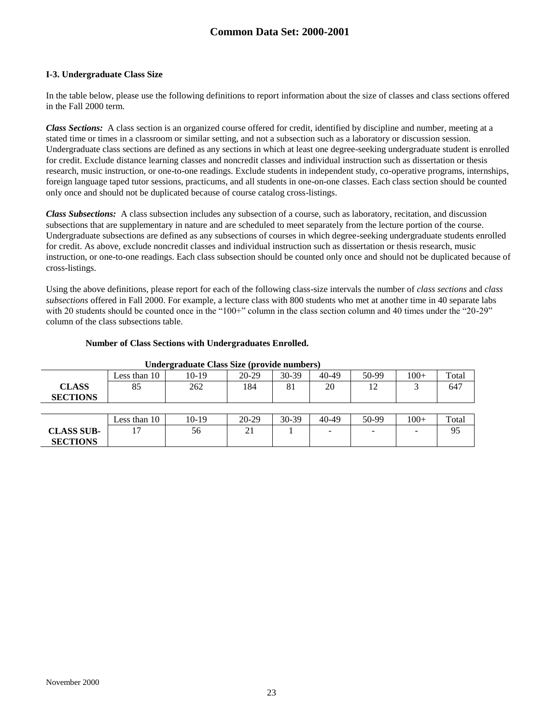#### **I-3. Undergraduate Class Size**

In the table below, please use the following definitions to report information about the size of classes and class sections offered in the Fall 2000 term.

*Class Sections:* A class section is an organized course offered for credit, identified by discipline and number, meeting at a stated time or times in a classroom or similar setting, and not a subsection such as a laboratory or discussion session. Undergraduate class sections are defined as any sections in which at least one degree-seeking undergraduate student is enrolled for credit. Exclude distance learning classes and noncredit classes and individual instruction such as dissertation or thesis research, music instruction, or one-to-one readings. Exclude students in independent study, co-operative programs, internships, foreign language taped tutor sessions, practicums, and all students in one-on-one classes. Each class section should be counted only once and should not be duplicated because of course catalog cross-listings.

*Class Subsections:* A class subsection includes any subsection of a course, such as laboratory, recitation, and discussion subsections that are supplementary in nature and are scheduled to meet separately from the lecture portion of the course. Undergraduate subsections are defined as any subsections of courses in which degree-seeking undergraduate students enrolled for credit. As above, exclude noncredit classes and individual instruction such as dissertation or thesis research, music instruction, or one-to-one readings. Each class subsection should be counted only once and should not be duplicated because of cross-listings.

Using the above definitions, please report for each of the following class-size intervals the number of *class sections* and *class subsections* offered in Fall 2000. For example, a lecture class with 800 students who met at another time in 40 separate labs with 20 students should be counted once in the "100+" column in the class section column and 40 times under the "20-29" column of the class subsections table.

#### **Number of Class Sections with Undergraduates Enrolled.**

| enacre auguste chass size (provide numbers) |              |         |           |         |       |       |        |       |
|---------------------------------------------|--------------|---------|-----------|---------|-------|-------|--------|-------|
|                                             | Less than 10 | 10-19   | $20-29$   | $30-39$ | 40-49 | 50-99 | $100+$ | Total |
| <b>CLASS</b>                                | 85           | 262     | 184       | 81      | 20    | 12    |        | 647   |
| <b>SECTIONS</b>                             |              |         |           |         |       |       |        |       |
|                                             |              |         |           |         |       |       |        |       |
|                                             | Less than 10 | $10-19$ | $20 - 29$ | $30-39$ | 40-49 | 50-99 | $100+$ | Total |
| <b>CLASS SUB-</b>                           |              | 56      | 21        |         |       | -     |        | 95    |
| <b>SECTIONS</b>                             |              |         |           |         |       |       |        |       |

#### **Undergraduate Class Size (provide numbers)**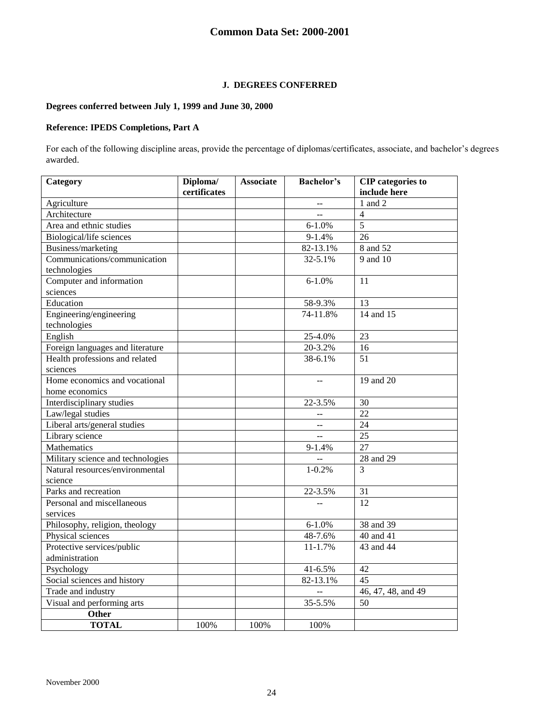### **J. DEGREES CONFERRED**

### **Degrees conferred between July 1, 1999 and June 30, 2000**

### **Reference: IPEDS Completions, Part A**

For each of the following discipline areas, provide the percentage of diplomas/certificates, associate, and bachelor's degrees awarded.

| Category                          | Diploma/<br>certificates | <b>Associate</b> | <b>Bachelor's</b>        | <b>CIP</b> categories to<br>include here |
|-----------------------------------|--------------------------|------------------|--------------------------|------------------------------------------|
| Agriculture                       |                          |                  | $\overline{a}$           | 1 and 2                                  |
| Architecture                      |                          |                  |                          | $\overline{4}$                           |
| Area and ethnic studies           |                          |                  | $6 - 1.0%$               | $\overline{5}$                           |
| Biological/life sciences          |                          |                  | $9 - 1.4%$               | 26                                       |
| Business/marketing                |                          |                  | 82-13.1%                 | 8 and 52                                 |
| Communications/communication      |                          |                  | 32-5.1%                  | 9 and 10                                 |
| technologies                      |                          |                  |                          |                                          |
| Computer and information          |                          |                  | $6 - 1.0%$               | 11                                       |
| sciences                          |                          |                  |                          |                                          |
| Education                         |                          |                  | 58-9.3%                  | 13                                       |
| Engineering/engineering           |                          |                  | 74-11.8%                 | 14 and 15                                |
| technologies                      |                          |                  |                          |                                          |
| English                           |                          |                  | 25-4.0%                  | 23                                       |
| Foreign languages and literature  |                          |                  | 20-3.2%                  | 16                                       |
| Health professions and related    |                          |                  | 38-6.1%                  | 51                                       |
| sciences                          |                          |                  |                          |                                          |
| Home economics and vocational     |                          |                  |                          | 19 and 20                                |
| home economics                    |                          |                  |                          |                                          |
| Interdisciplinary studies         |                          |                  | 22-3.5%                  | 30                                       |
| Law/legal studies                 |                          |                  |                          | 22                                       |
| Liberal arts/general studies      |                          |                  | $-$                      | 24                                       |
| Library science                   |                          |                  |                          | $\overline{25}$                          |
| Mathematics                       |                          |                  | $9 - 1.4%$               | 27                                       |
| Military science and technologies |                          |                  |                          | 28 and 29                                |
| Natural resources/environmental   |                          |                  | $1 - 0.2%$               | 3                                        |
| science                           |                          |                  |                          |                                          |
| Parks and recreation              |                          |                  | 22-3.5%                  | 31                                       |
| Personal and miscellaneous        |                          |                  | $\overline{\phantom{a}}$ | 12                                       |
| services                          |                          |                  |                          |                                          |
| Philosophy, religion, theology    |                          |                  | $6 - 1.0%$               | 38 and 39                                |
| Physical sciences                 |                          |                  | 48-7.6%                  | 40 and 41                                |
| Protective services/public        |                          |                  | 11-1.7%                  | 43 and 44                                |
| administration                    |                          |                  |                          |                                          |
| Psychology                        |                          |                  | 41-6.5%                  | 42                                       |
| Social sciences and history       |                          |                  | 82-13.1%                 | 45                                       |
| Trade and industry                |                          |                  |                          | 46, 47, 48, and 49                       |
| Visual and performing arts        |                          |                  | 35-5.5%                  | 50                                       |
| Other                             |                          |                  |                          |                                          |
| <b>TOTAL</b>                      | 100%                     | 100%             | 100%                     |                                          |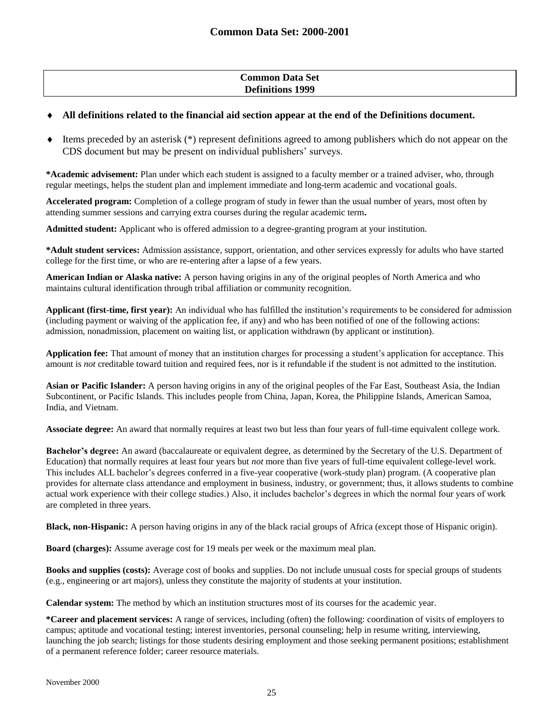### **Common Data Set Definitions 1999**

### **All definitions related to the financial aid section appear at the end of the Definitions document.**

 Items preceded by an asterisk (\*) represent definitions agreed to among publishers which do not appear on the CDS document but may be present on individual publishers' surveys.

**\*Academic advisement:** Plan under which each student is assigned to a faculty member or a trained adviser, who, through regular meetings, helps the student plan and implement immediate and long-term academic and vocational goals.

**Accelerated program:** Completion of a college program of study in fewer than the usual number of years, most often by attending summer sessions and carrying extra courses during the regular academic term**.**

**Admitted student:** Applicant who is offered admission to a degree-granting program at your institution.

**\*Adult student services:** Admission assistance, support, orientation, and other services expressly for adults who have started college for the first time, or who are re-entering after a lapse of a few years.

**American Indian or Alaska native:** A person having origins in any of the original peoples of North America and who maintains cultural identification through tribal affiliation or community recognition.

**Applicant (first-time, first year):** An individual who has fulfilled the institution's requirements to be considered for admission (including payment or waiving of the application fee, if any) and who has been notified of one of the following actions: admission, nonadmission, placement on waiting list, or application withdrawn (by applicant or institution).

**Application fee:** That amount of money that an institution charges for processing a student's application for acceptance. This amount is *not* creditable toward tuition and required fees, nor is it refundable if the student is not admitted to the institution.

**Asian or Pacific Islander:** A person having origins in any of the original peoples of the Far East, Southeast Asia, the Indian Subcontinent, or Pacific Islands. This includes people from China, Japan, Korea, the Philippine Islands, American Samoa, India, and Vietnam.

**Associate degree:** An award that normally requires at least two but less than four years of full-time equivalent college work.

**Bachelor's degree:** An award (baccalaureate or equivalent degree, as determined by the Secretary of the U.S. Department of Education) that normally requires at least four years but *not* more than five years of full-time equivalent college-level work. This includes ALL bachelor's degrees conferred in a five-year cooperative (work-study plan) program. (A cooperative plan provides for alternate class attendance and employment in business, industry, or government; thus, it allows students to combine actual work experience with their college studies.) Also, it includes bachelor's degrees in which the normal four years of work are completed in three years.

**Black, non-Hispanic:** A person having origins in any of the black racial groups of Africa (except those of Hispanic origin).

**Board (charges):** Assume average cost for 19 meals per week or the maximum meal plan.

**Books and supplies (costs):** Average cost of books and supplies. Do not include unusual costs for special groups of students (e.g., engineering or art majors), unless they constitute the majority of students at your institution.

**Calendar system:** The method by which an institution structures most of its courses for the academic year.

**\*Career and placement services:** A range of services, including (often) the following: coordination of visits of employers to campus; aptitude and vocational testing; interest inventories, personal counseling; help in resume writing, interviewing, launching the job search; listings for those students desiring employment and those seeking permanent positions; establishment of a permanent reference folder; career resource materials.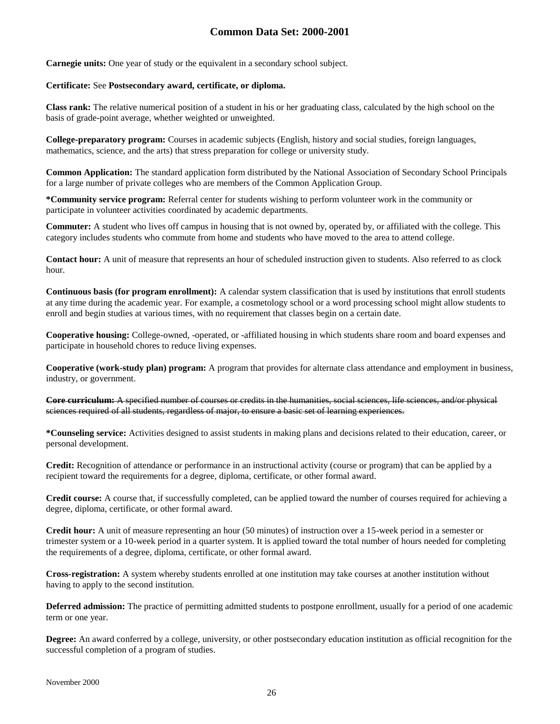**Carnegie units:** One year of study or the equivalent in a secondary school subject.

#### **Certificate:** See **Postsecondary award, certificate, or diploma.**

**Class rank:** The relative numerical position of a student in his or her graduating class, calculated by the high school on the basis of grade-point average, whether weighted or unweighted.

**College-preparatory program:** Courses in academic subjects (English, history and social studies, foreign languages, mathematics, science, and the arts) that stress preparation for college or university study.

**Common Application:** The standard application form distributed by the National Association of Secondary School Principals for a large number of private colleges who are members of the Common Application Group.

**\*Community service program:** Referral center for students wishing to perform volunteer work in the community or participate in volunteer activities coordinated by academic departments.

**Commuter:** A student who lives off campus in housing that is not owned by, operated by, or affiliated with the college. This category includes students who commute from home and students who have moved to the area to attend college.

**Contact hour:** A unit of measure that represents an hour of scheduled instruction given to students. Also referred to as clock hour.

**Continuous basis (for program enrollment):** A calendar system classification that is used by institutions that enroll students at any time during the academic year. For example, a cosmetology school or a word processing school might allow students to enroll and begin studies at various times, with no requirement that classes begin on a certain date.

**Cooperative housing:** College-owned, -operated, or -affiliated housing in which students share room and board expenses and participate in household chores to reduce living expenses.

**Cooperative (work-study plan) program:** A program that provides for alternate class attendance and employment in business, industry, or government.

**Core curriculum:** A specified number of courses or credits in the humanities, social sciences, life sciences, and/or physical sciences required of all students, regardless of major, to ensure a basic set of learning experiences.

**\*Counseling service:** Activities designed to assist students in making plans and decisions related to their education, career, or personal development.

**Credit:** Recognition of attendance or performance in an instructional activity (course or program) that can be applied by a recipient toward the requirements for a degree, diploma, certificate, or other formal award.

**Credit course:** A course that, if successfully completed, can be applied toward the number of courses required for achieving a degree, diploma, certificate, or other formal award.

**Credit hour:** A unit of measure representing an hour (50 minutes) of instruction over a 15-week period in a semester or trimester system or a 10-week period in a quarter system. It is applied toward the total number of hours needed for completing the requirements of a degree, diploma, certificate, or other formal award.

**Cross-registration:** A system whereby students enrolled at one institution may take courses at another institution without having to apply to the second institution.

**Deferred admission:** The practice of permitting admitted students to postpone enrollment, usually for a period of one academic term or one year.

**Degree:** An award conferred by a college, university, or other postsecondary education institution as official recognition for the successful completion of a program of studies.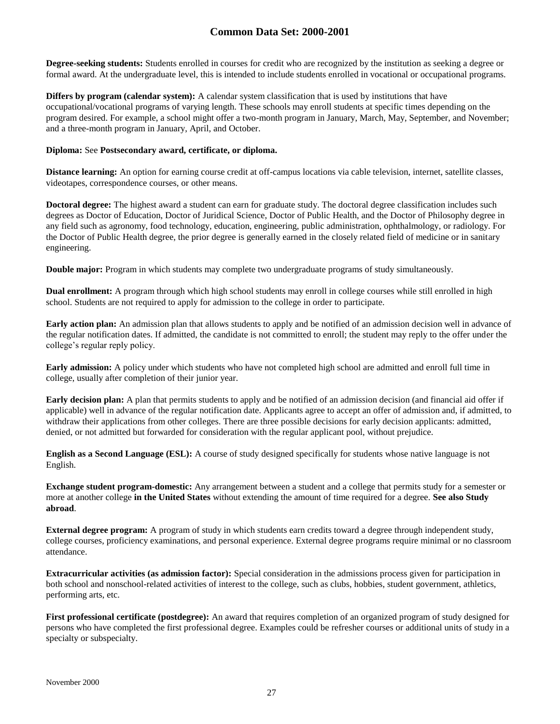**Degree-seeking students:** Students enrolled in courses for credit who are recognized by the institution as seeking a degree or formal award. At the undergraduate level, this is intended to include students enrolled in vocational or occupational programs.

**Differs by program (calendar system):** A calendar system classification that is used by institutions that have occupational/vocational programs of varying length. These schools may enroll students at specific times depending on the program desired. For example, a school might offer a two-month program in January, March, May, September, and November; and a three-month program in January, April, and October.

#### **Diploma:** See **Postsecondary award, certificate, or diploma.**

**Distance learning:** An option for earning course credit at off-campus locations via cable television, internet, satellite classes, videotapes, correspondence courses, or other means.

**Doctoral degree:** The highest award a student can earn for graduate study. The doctoral degree classification includes such degrees as Doctor of Education, Doctor of Juridical Science, Doctor of Public Health, and the Doctor of Philosophy degree in any field such as agronomy, food technology, education, engineering, public administration, ophthalmology, or radiology. For the Doctor of Public Health degree, the prior degree is generally earned in the closely related field of medicine or in sanitary engineering.

**Double major:** Program in which students may complete two undergraduate programs of study simultaneously.

**Dual enrollment:** A program through which high school students may enroll in college courses while still enrolled in high school. Students are not required to apply for admission to the college in order to participate.

**Early action plan:** An admission plan that allows students to apply and be notified of an admission decision well in advance of the regular notification dates. If admitted, the candidate is not committed to enroll; the student may reply to the offer under the college's regular reply policy.

**Early admission:** A policy under which students who have not completed high school are admitted and enroll full time in college, usually after completion of their junior year.

**Early decision plan:** A plan that permits students to apply and be notified of an admission decision (and financial aid offer if applicable) well in advance of the regular notification date. Applicants agree to accept an offer of admission and, if admitted, to withdraw their applications from other colleges. There are three possible decisions for early decision applicants: admitted, denied, or not admitted but forwarded for consideration with the regular applicant pool, without prejudice.

**English as a Second Language (ESL):** A course of study designed specifically for students whose native language is not English.

**Exchange student program-domestic:** Any arrangement between a student and a college that permits study for a semester or more at another college **in the United States** without extending the amount of time required for a degree. **See also Study abroad**.

**External degree program:** A program of study in which students earn credits toward a degree through independent study, college courses, proficiency examinations, and personal experience. External degree programs require minimal or no classroom attendance.

**Extracurricular activities (as admission factor):** Special consideration in the admissions process given for participation in both school and nonschool-related activities of interest to the college, such as clubs, hobbies, student government, athletics, performing arts, etc.

**First professional certificate (postdegree):** An award that requires completion of an organized program of study designed for persons who have completed the first professional degree. Examples could be refresher courses or additional units of study in a specialty or subspecialty.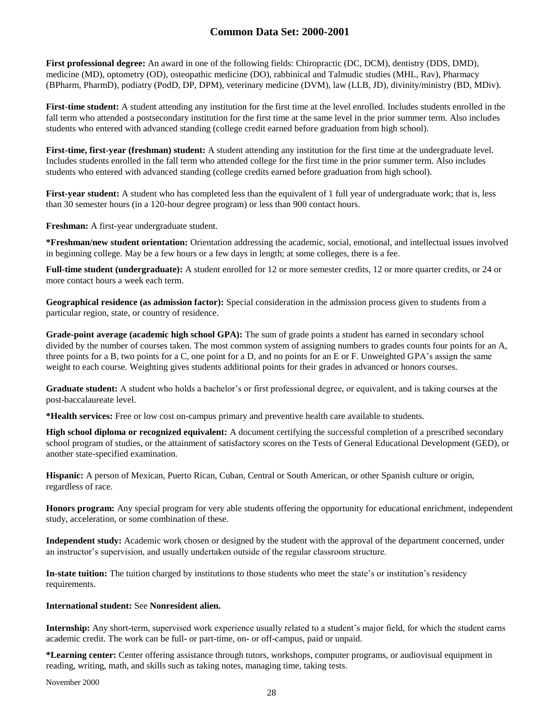**First professional degree:** An award in one of the following fields: Chiropractic (DC, DCM), dentistry (DDS, DMD), medicine (MD), optometry (OD), osteopathic medicine (DO), rabbinical and Talmudic studies (MHL, Rav), Pharmacy (BPharm, PharmD), podiatry (PodD, DP, DPM), veterinary medicine (DVM), law (LLB, JD), divinity/ministry (BD, MDiv).

**First-time student:** A student attending any institution for the first time at the level enrolled. Includes students enrolled in the fall term who attended a postsecondary institution for the first time at the same level in the prior summer term. Also includes students who entered with advanced standing (college credit earned before graduation from high school).

**First-time, first-year (freshman) student:** A student attending any institution for the first time at the undergraduate level. Includes students enrolled in the fall term who attended college for the first time in the prior summer term. Also includes students who entered with advanced standing (college credits earned before graduation from high school).

**First-year student:** A student who has completed less than the equivalent of 1 full year of undergraduate work; that is, less than 30 semester hours (in a 120-hour degree program) or less than 900 contact hours.

**Freshman:** A first-year undergraduate student.

**\*Freshman/new student orientation:** Orientation addressing the academic, social, emotional, and intellectual issues involved in beginning college. May be a few hours or a few days in length; at some colleges, there is a fee.

**Full-time student (undergraduate):** A student enrolled for 12 or more semester credits, 12 or more quarter credits, or 24 or more contact hours a week each term.

**Geographical residence (as admission factor):** Special consideration in the admission process given to students from a particular region, state, or country of residence.

**Grade-point average (academic high school GPA):** The sum of grade points a student has earned in secondary school divided by the number of courses taken. The most common system of assigning numbers to grades counts four points for an A, three points for a B, two points for a C, one point for a D, and no points for an E or F. Unweighted GPA's assign the same weight to each course. Weighting gives students additional points for their grades in advanced or honors courses.

**Graduate student:** A student who holds a bachelor's or first professional degree, or equivalent, and is taking courses at the post-baccalaureate level.

**\*Health services:** Free or low cost on-campus primary and preventive health care available to students.

**High school diploma or recognized equivalent:** A document certifying the successful completion of a prescribed secondary school program of studies, or the attainment of satisfactory scores on the Tests of General Educational Development (GED), or another state-specified examination.

**Hispanic:** A person of Mexican, Puerto Rican, Cuban, Central or South American, or other Spanish culture or origin, regardless of race.

**Honors program:** Any special program for very able students offering the opportunity for educational enrichment, independent study, acceleration, or some combination of these.

**Independent study:** Academic work chosen or designed by the student with the approval of the department concerned, under an instructor's supervision, and usually undertaken outside of the regular classroom structure.

**In-state tuition:** The tuition charged by institutions to those students who meet the state's or institution's residency requirements.

#### **International student:** See **Nonresident alien.**

**Internship:** Any short-term, supervised work experience usually related to a student's major field, for which the student earns academic credit. The work can be full- or part-time, on- or off-campus, paid or unpaid.

**\*Learning center:** Center offering assistance through tutors, workshops, computer programs, or audiovisual equipment in reading, writing, math, and skills such as taking notes, managing time, taking tests.

November 2000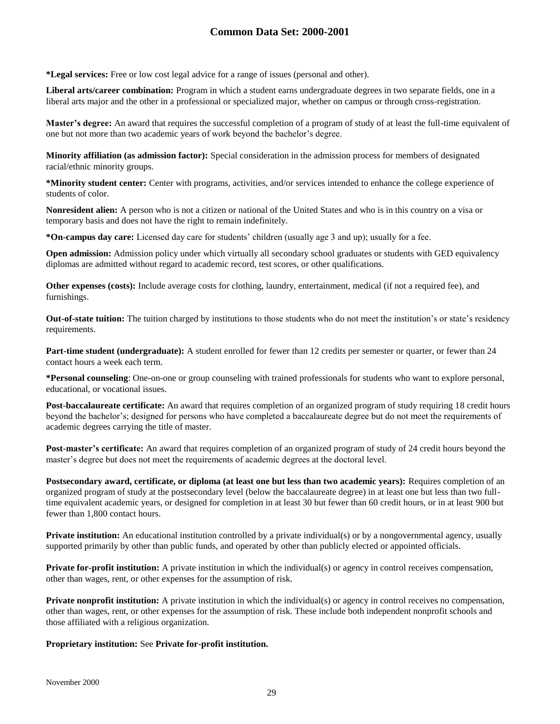**\*Legal services:** Free or low cost legal advice for a range of issues (personal and other).

**Liberal arts/career combination:** Program in which a student earns undergraduate degrees in two separate fields, one in a liberal arts major and the other in a professional or specialized major, whether on campus or through cross-registration.

**Master's degree:** An award that requires the successful completion of a program of study of at least the full-time equivalent of one but not more than two academic years of work beyond the bachelor's degree.

**Minority affiliation (as admission factor):** Special consideration in the admission process for members of designated racial/ethnic minority groups.

**\*Minority student center:** Center with programs, activities, and/or services intended to enhance the college experience of students of color.

**Nonresident alien:** A person who is not a citizen or national of the United States and who is in this country on a visa or temporary basis and does not have the right to remain indefinitely.

**\*On-campus day care:** Licensed day care for students' children (usually age 3 and up); usually for a fee.

**Open admission:** Admission policy under which virtually all secondary school graduates or students with GED equivalency diplomas are admitted without regard to academic record, test scores, or other qualifications.

**Other expenses (costs):** Include average costs for clothing, laundry, entertainment, medical (if not a required fee), and furnishings.

**Out-of-state tuition:** The tuition charged by institutions to those students who do not meet the institution's or state's residency requirements.

**Part-time student (undergraduate):** A student enrolled for fewer than 12 credits per semester or quarter, or fewer than 24 contact hours a week each term.

**\*Personal counseling**: One-on-one or group counseling with trained professionals for students who want to explore personal, educational, or vocational issues.

**Post-baccalaureate certificate:** An award that requires completion of an organized program of study requiring 18 credit hours beyond the bachelor's; designed for persons who have completed a baccalaureate degree but do not meet the requirements of academic degrees carrying the title of master.

**Post-master's certificate:** An award that requires completion of an organized program of study of 24 credit hours beyond the master's degree but does not meet the requirements of academic degrees at the doctoral level.

Postsecondary award, certificate, or diploma (at least one but less than two academic years): Requires completion of an organized program of study at the postsecondary level (below the baccalaureate degree) in at least one but less than two fulltime equivalent academic years, or designed for completion in at least 30 but fewer than 60 credit hours, or in at least 900 but fewer than 1,800 contact hours.

**Private institution:** An educational institution controlled by a private individual(s) or by a nongovernmental agency, usually supported primarily by other than public funds, and operated by other than publicly elected or appointed officials.

**Private for-profit institution:** A private institution in which the individual(s) or agency in control receives compensation, other than wages, rent, or other expenses for the assumption of risk.

**Private nonprofit institution:** A private institution in which the individual(s) or agency in control receives no compensation, other than wages, rent, or other expenses for the assumption of risk. These include both independent nonprofit schools and those affiliated with a religious organization.

### **Proprietary institution:** See **Private for-profit institution.**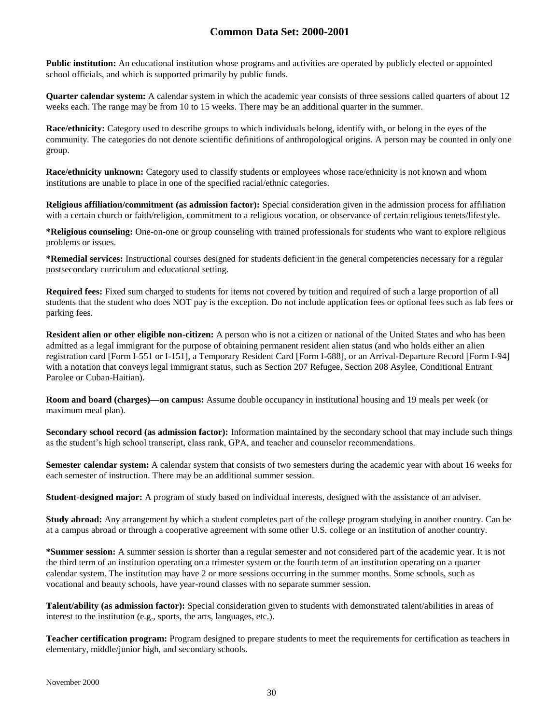**Public institution:** An educational institution whose programs and activities are operated by publicly elected or appointed school officials, and which is supported primarily by public funds.

**Quarter calendar system:** A calendar system in which the academic year consists of three sessions called quarters of about 12 weeks each. The range may be from 10 to 15 weeks. There may be an additional quarter in the summer.

**Race/ethnicity:** Category used to describe groups to which individuals belong, identify with, or belong in the eyes of the community. The categories do not denote scientific definitions of anthropological origins. A person may be counted in only one group.

**Race/ethnicity unknown:** Category used to classify students or employees whose race/ethnicity is not known and whom institutions are unable to place in one of the specified racial/ethnic categories.

**Religious affiliation/commitment (as admission factor):** Special consideration given in the admission process for affiliation with a certain church or faith/religion, commitment to a religious vocation, or observance of certain religious tenets/lifestyle.

**\*Religious counseling:** One-on-one or group counseling with trained professionals for students who want to explore religious problems or issues.

**\*Remedial services:** Instructional courses designed for students deficient in the general competencies necessary for a regular postsecondary curriculum and educational setting.

**Required fees:** Fixed sum charged to students for items not covered by tuition and required of such a large proportion of all students that the student who does NOT pay is the exception. Do not include application fees or optional fees such as lab fees or parking fees.

**Resident alien or other eligible non-citizen:** A person who is not a citizen or national of the United States and who has been admitted as a legal immigrant for the purpose of obtaining permanent resident alien status (and who holds either an alien registration card [Form I-551 or I-151], a Temporary Resident Card [Form I-688], or an Arrival-Departure Record [Form I-94] with a notation that conveys legal immigrant status, such as Section 207 Refugee, Section 208 Asylee, Conditional Entrant Parolee or Cuban-Haitian).

**Room and board (charges)—on campus:** Assume double occupancy in institutional housing and 19 meals per week (or maximum meal plan).

**Secondary school record (as admission factor):** Information maintained by the secondary school that may include such things as the student's high school transcript, class rank, GPA, and teacher and counselor recommendations.

**Semester calendar system:** A calendar system that consists of two semesters during the academic year with about 16 weeks for each semester of instruction. There may be an additional summer session.

**Student-designed major:** A program of study based on individual interests, designed with the assistance of an adviser.

**Study abroad:** Any arrangement by which a student completes part of the college program studying in another country. Can be at a campus abroad or through a cooperative agreement with some other U.S. college or an institution of another country.

**\*Summer session:** A summer session is shorter than a regular semester and not considered part of the academic year. It is not the third term of an institution operating on a trimester system or the fourth term of an institution operating on a quarter calendar system. The institution may have 2 or more sessions occurring in the summer months. Some schools, such as vocational and beauty schools, have year-round classes with no separate summer session.

**Talent/ability (as admission factor):** Special consideration given to students with demonstrated talent/abilities in areas of interest to the institution (e.g., sports, the arts, languages, etc.).

**Teacher certification program:** Program designed to prepare students to meet the requirements for certification as teachers in elementary, middle/junior high, and secondary schools.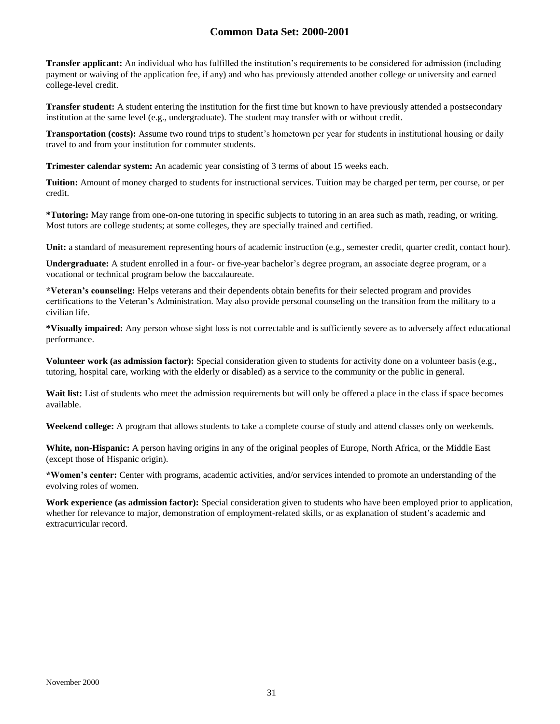**Transfer applicant:** An individual who has fulfilled the institution's requirements to be considered for admission (including payment or waiving of the application fee, if any) and who has previously attended another college or university and earned college-level credit.

**Transfer student:** A student entering the institution for the first time but known to have previously attended a postsecondary institution at the same level (e.g., undergraduate). The student may transfer with or without credit.

**Transportation (costs):** Assume two round trips to student's hometown per year for students in institutional housing or daily travel to and from your institution for commuter students.

**Trimester calendar system:** An academic year consisting of 3 terms of about 15 weeks each.

**Tuition:** Amount of money charged to students for instructional services. Tuition may be charged per term, per course, or per credit.

**\*Tutoring:** May range from one-on-one tutoring in specific subjects to tutoring in an area such as math, reading, or writing. Most tutors are college students; at some colleges, they are specially trained and certified.

Unit: a standard of measurement representing hours of academic instruction (e.g., semester credit, quarter credit, contact hour).

**Undergraduate:** A student enrolled in a four- or five-year bachelor's degree program, an associate degree program, or a vocational or technical program below the baccalaureate.

**\*Veteran's counseling:** Helps veterans and their dependents obtain benefits for their selected program and provides certifications to the Veteran's Administration. May also provide personal counseling on the transition from the military to a civilian life.

**\*Visually impaired:** Any person whose sight loss is not correctable and is sufficiently severe as to adversely affect educational performance.

**Volunteer work (as admission factor):** Special consideration given to students for activity done on a volunteer basis (e.g., tutoring, hospital care, working with the elderly or disabled) as a service to the community or the public in general.

Wait list: List of students who meet the admission requirements but will only be offered a place in the class if space becomes available.

**Weekend college:** A program that allows students to take a complete course of study and attend classes only on weekends.

**White, non-Hispanic:** A person having origins in any of the original peoples of Europe, North Africa, or the Middle East (except those of Hispanic origin).

**\*Women's center:** Center with programs, academic activities, and/or services intended to promote an understanding of the evolving roles of women.

**Work experience (as admission factor):** Special consideration given to students who have been employed prior to application, whether for relevance to major, demonstration of employment-related skills, or as explanation of student's academic and extracurricular record.